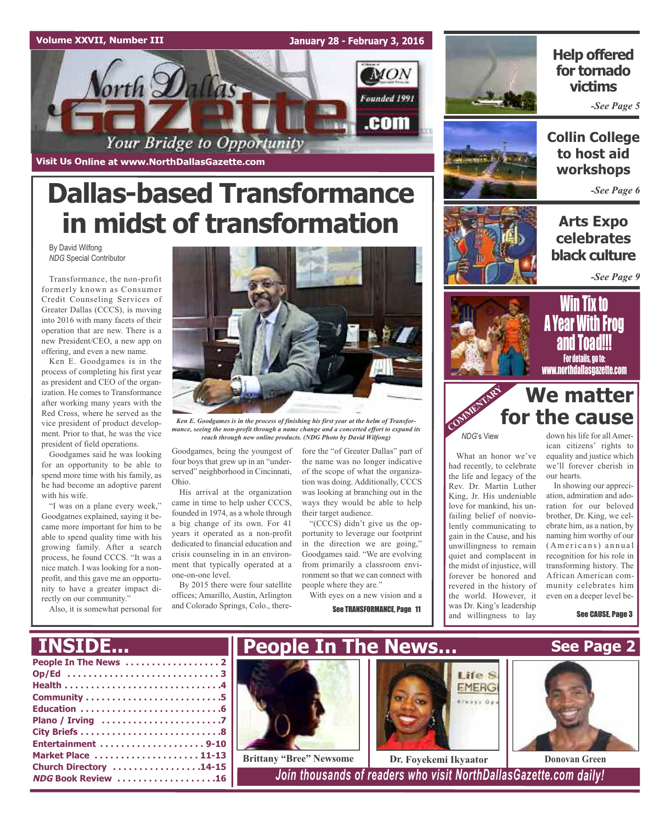## **Volume XXVII, Number III**

**Visit Us Online at www.NorthDallasGazette.com**

**January 28 - February 3, 2016**





## **Help offered for tornado victims**

*-See Page 5*

**Collin College to host aid workshops**

*-See Page 6*

## **Arts Expo celebrates black culture**

*-See Page 9*



Win Tix to A Year With Frog anu Toanii**:** For details, go to: www.northdallasgazette.com

## **We matter for the cause** COMMENTARY **COMMENT**

*NDG*'s View

What an honor we've had recently, to celebrate the life and legacy of the Rev. Dr. Martin Luther King, Jr. His undeniable love for mankind, his unfailing belief of nonviolently communicating to gain in the Cause, and his unwillingness to remain quiet and complacent in the midst of injustice, will forever be honored and revered in the history of the world. However, it was Dr. King's leadership and willingness to lay

down his life for all American citizens' rights to equality and justice which we'll forever cherish in our hearts.

In showing our appreciation, admiration and adoration for our beloved brother, Dr. King, we celebrate him, as a nation, by naming him worthy of our (Americans) annual recognition for his role in transforming history. The African American community celebrates him even on a deeper level be-

See CAUSE, Page 3



By David Wilfong *NDG* Special Contributor

Transformance, the non-profit formerly known as Consumer Credit Counseling Services of Greater Dallas (CCCS), is moving into 2016 with many facets of their operation that are new. There is a new President/CEO, a new app on offering, and even a new name.

Ken E. Goodgames is in the process of completing his first year as president and CEO of the organization. He comes to Transformance after working many years with the Red Cross, where he served as the vice president of product development. Prior to that, he was the vice president of field operations.

Goodgames said he was looking for an opportunity to be able to spend more time with his family, as he had become an adoptive parent with his wife.

"I was on a plane every week," Goodgames explained, saying it became more important for him to be able to spend quality time with his growing family. After a search process, he found CCCS. "It was a nice match. I was looking for a nonprofit, and this gave me an opportunity to have a greater impact directly on our community."

Also, it is somewhat personal for



*Ken E. Goodgames is in the process of finishing his first year at the helm of Transformance, seeing the non-profit through a name change and a concerted effort to expand its reach through new online products. (NDG Photo by David Wilfong)*

Goodgames, being the youngest of four boys that grew up in an "underserved" neighborhood in Cincinnati, Ohio.

His arrival at the organization came in time to help usher CCCS, founded in 1974, as a whole through a big change of its own. For 41 years it operated as a non-profit dedicated to financial education and crisis counseling in in an environment that typically operated at a one-on-one level.

By 2015 there were four satellite offices; Amarillo, Austin, Arlington and Colorado Springs, Colo., therefore the "of Greater Dallas" part of the name was no longer indicative of the scope of what the organization was doing. Additionally, CCCS was looking at branching out in the ways they would be able to help their target audience.

"(CCCS) didn't give us the opportunity to leverage our footprint in the direction we are going," Goodgames said. "We are evolving from primarily a classroom environment so that we can connect with people where they are."

With eyes on a new vision and a

See TRANSFORMANCE, Page 11

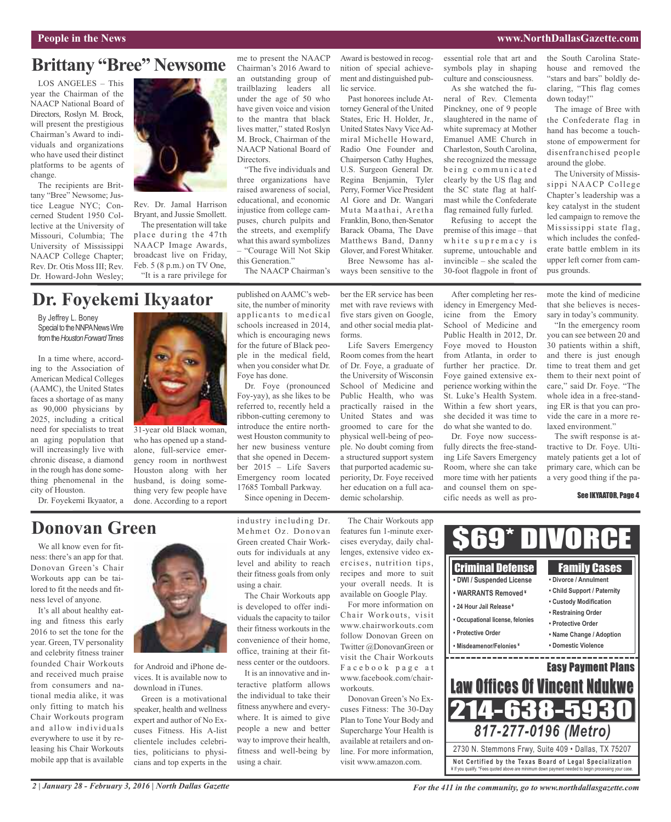## **Brittany "Bree" Newsome**

LOS ANGELES – This year the Chairman of the NAACP National Board of Directors, Roslyn M. Brock, will present the prestigious Chairman's Award to individuals and organizations who have used their distinct platforms to be agents of change.

The recipients are Brittany "Bree" Newsome; Justice League NYC; Concerned Student 1950 Collective at the University of Missouri, Columbia; The University of Mississippi NAACP College Chapter; Rev. Dr. Otis Moss III; Rev. Dr. Howard-John Wesley;



Rev. Dr. Jamal Harrison Bryant, and Jussie Smollett. The presentation will take place during the 47th NAACP Image Awards, broadcast live on Friday, Feb. 5 (8 p.m.) on TV One,

"It is a rare privilege for

#### me to present the NAACP Chairman's 2016 Award to an outstanding group of trailblazing leaders all under the age of 50 who have given voice and vision to the mantra that black lives matter," stated Roslyn M. Brock, Chairman of the NAACP National Board of Directors.

"The five individuals and three organizations have raised awareness of social, educational, and economic injustice from college campuses, church pulpits and the streets, and exemplify what this award symbolizes – "Courage Will Not Skip this Generation."

The NAACP Chairman's

Award is bestowed in recognition of special achievement and distinguished public service.

Past honorees include Attorney General of the United States, Eric H. Holder, Jr., United States Navy ViceAdmiral Michelle Howard, Radio One Founder and Chairperson Cathy Hughes, U.S. Surgeon General Dr. Regina Benjamin, Tyler Perry, Former Vice President Al Gore and Dr. Wangari Muta Maathai, Aretha Franklin, Bono, then-Senator Barack Obama, The Dave Matthews Band, Danny Glover, and Forest Whitaker.

Bree Newsome has always been sensitive to the essential role that art and symbols play in shaping culture and consciousness. As she watched the fu-

neral of Rev. Clementa Pinckney, one of 9 people slaughtered in the name of white supremacy at Mother Emanuel AME Church in Charleston, South Carolina, she recognized the message being communicated clearly by the US flag and the SC state flag at halfmast while the Confederate flag remained fully furled.

Refusing to accept the premise of this image – that white supremacy is supreme, untouchable and invincible – she scaled the 30-foot flagpole in front of the South Carolina Statehouse and removed the "stars and bars" boldly declaring, "This flag comes down today!"

The image of Bree with the Confederate flag in hand has become a touchstone of empowerment for disenfranchised people around the globe.

The University of Mississippi NAACP College Chapter's leadership was a key catalyst in the student led campaign to remove the Mississippi state flag, which includes the confederate battle emblem in its upper left corner from campus grounds.

## **Dr. Foyekemi Ikyaator**

By Jeffrey L. Boney Special to the NNPA News Wire fromthe*HoustonForwardTimes*

In a time where, according to the Association of American Medical Colleges (AAMC), the United States faces a shortage of as many as 90,000 physicians by 2025, including a critical need for specialists to treat an aging population that will increasingly live with chronic disease, a diamond in the rough has done something phenomenal in the city of Houston.

Dr. Foyekemi Ikyaator, a



31-year old Black woman, who has opened up a standalone, full-service emergency room in northwest Houston along with her husband, is doing something very few people have done. According to a report

published on AAMC's website, the number of minority applicants to medical schools increased in 2014, which is encouraging news for the future of Black people in the medical field, when you consider what Dr. Foye has done.

Dr. Foye (pronounced Foy-yay), as she likes to be referred to, recently held a ribbon-cutting ceremony to introduce the entire northwest Houston community to her new business venture that she opened in December 2015 – Life Savers Emergency room located 17685 Tomball Parkway.

Since opening in Decem-

ber the ER service has been met with rave reviews with five stars given on Google, and other social media platforms.

Life Savers Emergency Room comes from the heart of Dr. Foye, a graduate of the University of Wisconsin School of Medicine and Public Health, who was practically raised in the United States and was groomed to care for the physical well-being of people. No doubt coming from a structured support system that purported academic superiority, Dr. Foye received her education on a full academic scholarship.

After completing her residency in Emergency Medicine from the Emory School of Medicine and Public Health in 2012, Dr. Foye moved to Houston from Atlanta, in order to further her practice. Dr. Foye gained extensive experience working within the St. Luke's Health System. Within a few short years, she decided it was time to do what she wanted to do.

Dr. Foye now successfully directs the free-standing Life Savers Emergency Room, where she can take more time with her patients and counsel them on specific needs as well as promote the kind of medicine that she believes is necessary in today's community.

"In the emergency room you can see between 20 and 30 patients within a shift, and there is just enough time to treat them and get them to their next point of care," said Dr. Foye. "The whole idea in a free-standing ER is that you can provide the care in a more relaxed environment."

The swift response is attractive to Dr. Foye. Ultimately patients get a lot of primary care, which can be a very good thing if the pa-

#### See IKYAATOR, Page 4

## **Donovan Green**

We all know even for fitness: there's an app for that. Donovan Green's Chair Workouts app can be tailored to fit the needs and fitness level of anyone.

It's all about healthy eating and fitness this early 2016 to set the tone for the year. Green, TV personality and celebrity fitness trainer founded Chair Workouts and received much praise from consumers and national media alike, it was only fitting to match his Chair Workouts program and allow individuals everywhere to use it by releasing his Chair Workouts mobile app that is available



for Android and iPhone devices. It is available now to download in iTunes.

Green is a motivational speaker, health and wellness expert and author of No Excuses Fitness. His A-list clientele includes celebrities, politicians to physicians and top experts in the industry including Dr. Mehmet Oz. Donovan Green created Chair Workouts for individuals at any level and ability to reach their fitness goals from only using a chair.

The Chair Workouts app is developed to offer individuals the capacity to tailor their fitness workouts in the convenience of their home, office, training at their fitness center or the outdoors.

It is an innovative and interactive platform allows the individual to take their fitness anywhere and everywhere. It is aimed to give people a new and better way to improve their health, fitness and well-being by using a chair.

The Chair Workouts app features fun 1-minute exercises everyday, daily challenges, extensive video exercises, nutrition tips, recipes and more to suit your overall needs. It is available on Google Play.

For more information on Chair Workouts, visit www.chairworkouts.com follow Donovan Green on Twitter @DonovanGreen or visit the Chair Workouts Facebook page at www.facebook.com/chairworkouts.

Donovan Green's No Excuses Fitness: The 30-Day Plan to Tone Your Body and Supercharge Your Health is available at retailers and online. For more information, visit www.amazon.com.

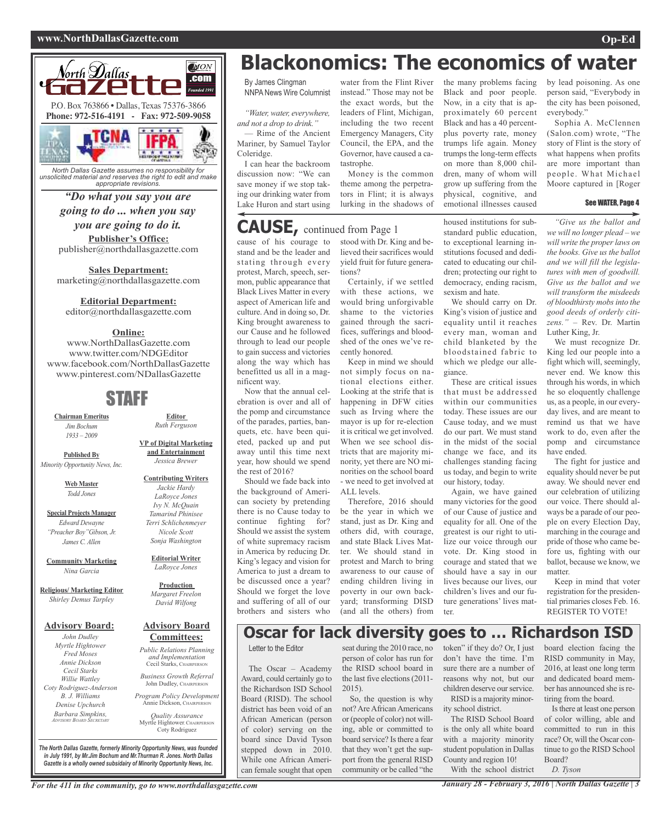### **www.NorthDallasGazette.com Op-Ed**





*North Dallas Gazette assumes no responsibility for unsolicited material and reserves the right to edit and make appropriate revisions.*

> *"Do what you say you are going to do ... when you say*

*you are going to do it.*

**Publisher's Office:** publisher@northdallasgazette.com

**Sales Department:** marketing@northdallasgazette.com

### **Editorial Department:**

editor@northdallasgazette.com

## **Online:**

www.NorthDallasGazette.com www.twitter.com/NDGEditor www.facebook.com/NorthDallasGazette www.pinterest.com/NDallasGazette

## STAFF

**Chairman Emeritus** *Jim Bochum 1933 – 2009*

**Published By** *Minority Opportunity News, Inc.*

> **Web Master** *Todd Jones*

**Special Projects Manager** *Edward Dewayne "Preacher Boy"Gibson, Jr. James C. Allen*

**Community Marketing** *Nina Garcia*

**Religious/ Marketing Editor** *Shirley Demus Tarpley*

#### **Advisory Board:**

*John Dudley Myrtle Hightower Fred Moses Annie Dickson Cecil Starks Willie Wattley Coty Rodriguez-Anderson B. J. Williams Denise Upchurch Barbara Simpkins, ADVISORY BOARD SECRETARY*

**VP of Digital Marketing and Entertainment** *Jessica Brewer*

**Editor** *Ruth Ferguson*

**Contributing Writers** *Jackie Hardy LaRoyce Jones Ivy N. McQuain Tamarind Phinisee Terri Schlichenmeyer Nicole Scott Sonja Washington*

#### **Editorial Writer** *LaRoyce Jones*

**Production** *Margaret Freelon David Wilfong*

#### **Advisory Board Committees:**

*Public Relations Planning and Implementation* Cecil Starks, CHAIRPERSON

*Business Growth Referral* John Dudley, CHAIRPERSO

*Program Policy Development* Annie Dickson, CHAIRPERS

*Quality Assurance* Myrtle Hightower, CHAIRPERSON Coty Rodriguez

*The North Dallas Gazette, formerly Minority Opportunity News, was founded in July 1991, by Mr.Jim Bochum and Mr.Thurman R. Jones. North Dallas Gazette is a wholly owned subsidairy of Minority Opportunity News, Inc.*

# **Blackonomics: The economics of water**

By James Clingman NNPANews Wire Columnist

*"Water, water, everywhere, and not a drop to drink."*

— Rime of the Ancient Mariner, by Samuel Taylor Coleridge.

I can hear the backroom discussion now: "We can save money if we stop taking our drinking water from Lake Huron and start using

## the exact words, but the leaders of Flint, Michigan, including the two recent Emergency Managers, City Council, the EPA, and the Governor, have caused a catastrophe. Money is the common

water from the Flint River instead." Those may not be

theme among the perpetrators in Flint; it is always lurking in the shadows of

## **CAUSE,** continued from Page <sup>1</sup>

cause of his courage to stand and be the leader and stating through every protest, March, speech, sermon, public appearance that Black Lives Matter in every aspect of American life and culture. And in doing so, Dr. King brought awareness to our Cause and he followed through to lead our people to gain success and victories along the way which has benefitted us all in a magnificent way.

Now that the annual celebration is over and all of the pomp and circumstance of the parades, parties, banquets, etc. have been quieted, packed up and put away until this time next year, how should we spend the rest of 2016?

Should we fade back into the background of American society by pretending there is no Cause today to continue fighting for? Should we assist the system of white supremacy racism in America by reducing Dr. King's legacy and vision for America to just a dream to be discussed once a year? Should we forget the love and suffering of all of our brothers and sisters who

stood with Dr. King and believed their sacrifices would yield fruit for future generations?

Certainly, if we settled with these actions, we would bring unforgivable shame to the victories gained through the sacrifices, sufferings and bloodshed of the ones we've recently honored.

Keep in mind we should not simply focus on national elections either. Looking at the strife that is happening in DFW cities such as Irving where the mayor is up for re-election it is critical we get involved. When we see school districts that are majority minority, yet there are NO minorities on the school board - we need to get involved at ALL levels.

Therefore, 2016 should be the year in which we stand, just as Dr. King and others did, with courage, and state Black Lives Matter. We should stand in protest and March to bring awareness to our cause of ending children living in poverty in our own backyard; transforming DISD (and all the others) from

the many problems facing Black and poor people. Now, in a city that is approximately 60 percent Black and has a 40 percentplus poverty rate, money trumps life again. Money trumps the long-term effects on more than 8,000 children, many of whom will grow up suffering from the physical, cognitive, and emotional illnesses caused

housed institutions for substandard public education, to exceptional learning institutions focused and dedicated to educating our children; protecting our right to democracy, ending racism, sexism and hate.

We should carry on Dr. King's vision of justice and equality until it reaches every man, woman and child blanketed by the bloodstained fabric to which we pledge our allegiance.

These are critical issues that must be addressed within our communities today. These issues are our Cause today, and we must do our part. We must stand in the midst of the social change we face, and its challenges standing facing us today, and begin to write our history, today.

Again, we have gained many victories for the good of our Cause of justice and equality for all. One of the greatest is our right to utilize our voice through our vote. Dr. King stood in courage and stated that we should have a say in our lives because our lives, our children's lives and our future generations' lives matter.

person said, "Everybody in the city has been poisoned, everybody." Sophia A. McClennen

by lead poisoning. As one

(Salon.com) wrote, "The story of Flint is the story of what happens when profits are more important than people. What Michael Moore captured in [Roger

#### See WATER, Page 4

*"Give us the ballot and we will no longer plead – we will write the properlaws on the books. Give us the ballot and we will fill the legislatures with men of goodwill. Give us the ballot and we will transform the misdeeds of bloodthirsty mobsinto the good deeds of orderly citizens."* – Rev. Dr. Martin Luther King, Jr.

We must recognize Dr. King led our people into a fight which will, seemingly, never end. We know this through his words, in which he so eloquently challenge us, as a people, in our everyday lives, and are meant to remind us that we have work to do, even after the pomp and circumstance have ended.

The fight for justice and equality should never be put away. We should never end our celebration of utilizing our voice. There should always be a parade of our people on every Election Day, marching in the courage and pride of those who came before us, fighting with our ballot, because we know, we matter.

Keep in mind that voter registration for the presidential primaries closes Feb. 16. REGISTER TO VOTE!

## **Oscar for lack diversity goes to … Richardson ISD**

## Letter to the Editor

The Oscar – Academy Award, could certainly go to the Richardson ISD School Board (RISD). The school district has been void of an African American (person of color) serving on the board since David Tyson stepped down in 2010. While one African American female sought that open

seat during the 2010 race, no person of color has run for the RISD school board in the last five elections(2011- 2015).

So, the question is why not? Are African Americans or (people of color) not willing, able or committed to board service? Is there a fear that they won't get the support from the general RISD community or be called "the

token" if they do? Or, I just don't have the time. I'm sure there are a number of reasons why not, but our children deserve our service. RISD is a majority minority school district.

The RISD School Board is the only all white board with a majority minority student population in Dallas County and region 10!

With the school district

board election facing the RISD community in May, 2016, at least one long term and dedicated board member has announced she is retiring from the board.

Is there at least one person of color willing, able and committed to run in this race? Or, will the Oscar continue to go the RISD School Board? *D. Tyson*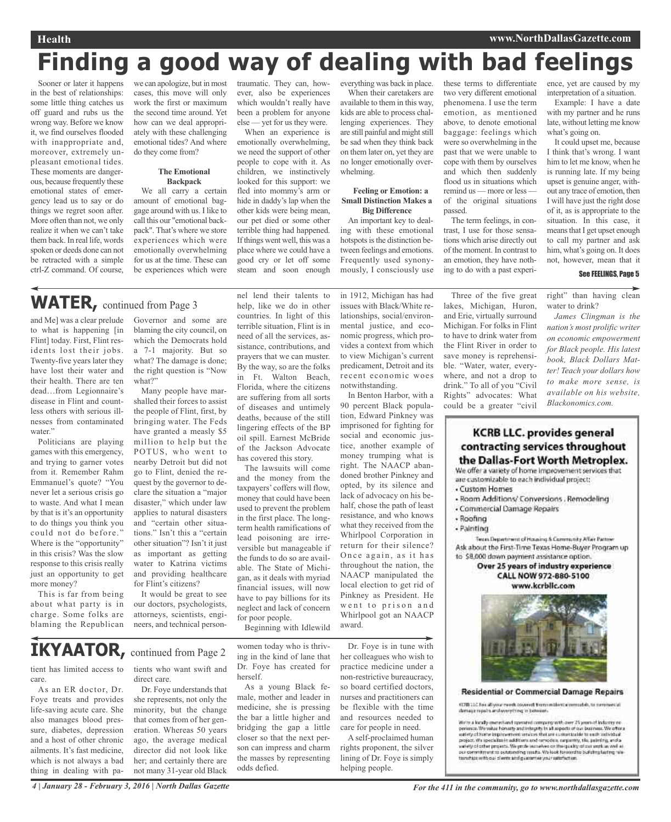# **Finding a good way of dealing with bad feelings**

Sooner or later it happens in the best of relationships: some little thing catches us off guard and rubs us the wrong way. Before we know it, we find ourselves flooded with inappropriate and, moreover, extremely unpleasant emotional tides. These moments are dangerous, because frequently these emotional states of emergency lead us to say or do things we regret soon after. More often than not, we only realize it when we can't take them back. In real life, words spoken or deeds done can not be retracted with a simple ctrl-Z command. Of course,

we can apologize, but in most cases, this move will only work the first or maximum the second time around. Yet how can we deal appropriately with these challenging emotional tides? And where do they come from?

#### **The Emotional Backpack**

We all carry a certain amount of emotional baggage around with us. I like to call this our "emotional backpack". That's where we store experiences which were emotionally overwhelming for us at the time. These can be experiences which were traumatic. They can, however, also be experiences which wouldn't really have been a problem for anyone else — yet for us they were.

When an experience is emotionally overwhelming, we need the support of other people to cope with it. As children, we instinctively looked for this support: we fled into mommy's arm or hide in daddy's lap when the other kids were being mean, our pet died or some other terrible thing had happened. If things went well, this was a place where we could have a good cry or let off some steam and soon enough

everything was back in place. When their caretakers are available to them in this way, kids are able to process challenging experiences. They are still painful and might still be sad when they think back on them later on, yet they are no longer emotionally overwhelming.

#### **Feeling or Emotion: a Small Distinction Makes a Big Difference**

An important key to dealing with these emotional hotspots is the distinction between feelings and emotions. Frequently used synonymously, I consciously use these terms to differentiate two very different emotional phenomena. I use the term emotion, as mentioned above, to denote emotional baggage: feelings which were so overwhelming in the past that we were unable to cope with them by ourselves and which then suddenly flood us in situations which remind us — more or less of the original situations passed.

The term feelings, in contrast, I use for those sensations which arise directly out of the moment. In contrast to an emotion, they have nothing to do with a past experi-

Three of the five great

ence, yet are caused by my interpretation of a situation.

Example: I have a date with my partner and he runs late, without letting me know what's going on.

It could upset me, because I think that's wrong. I want him to let me know, when he is running late. If my being upset is genuine anger, without any trace of emotion, then I will have just the right dose of it, as is appropriate to the situation. In this case, it meansthatI get upset enough to call my partner and ask him, what's going on. It does not, however, mean that it

#### See FEELINGS, Page 5

right" than having clean water to drink?

*James Clingman is the nation's most prolific writer on economic empowerment for Black people. His latest book, Black Dollars Matter! Teach your dollars how to make more sense, is available on his website, Blackonomics.com.*

## **WATER,** continued from Page <sup>3</sup>

and Me] was a clear prelude to what is happening [in Flint] today. First, Flint residents lost their jobs. Twenty-five years later they have lost their water and their health. There are ten dead…from Legionnaire's disease in Flint and countless others with serious illnesses from contaminated water."

Politicians are playing games with this emergency, and trying to garner votes from it. Remember Rahm Emmanuel's quote? "You never let a serious crisis go to waste. And what I mean by that is it's an opportunity to do things you think you could not do before." Where is the "opportunity" in this crisis? Was the slow response to this crisis really just an opportunity to get more money?

This is far from being about what party is in charge. Some folks are blaming the Republican Governor and some are blaming the city council, on which the Democrats hold a 7-1 majority. But so what? The damage is done; the right question is "Now what?"

Many people have marshalled their forces to assist the people of Flint, first, by bringing water. The Feds have granted a measly \$5 million to help but the POTUS, who went to nearby Detroit but did not go to Flint, denied the request by the governor to declare the situation a "major disaster," which under law applies to natural disasters and "certain other situations." Isn't this a "certain other situation"? Isn't it just as important as getting water to Katrina victims and providing healthcare for Flint's citizens?

It would be great to see our doctors, psychologists, attorneys, scientists, engineers, and technical personnel lend their talents to help, like we do in other countries. In light of this terrible situation, Flint is in need of all the services, assistance, contributions, and prayers that we can muster. By the way, so are the folks in Ft. Walton Beach, Florida, where the citizens are suffering from all sorts of diseases and untimely deaths, because of the still lingering effects of the BP oil spill. Earnest McBride of the Jackson Advocate has covered this story.

The lawsuits will come and the money from the taxpayers' coffers will flow, money that could have been used to prevent the problem in the first place. The longterm health ramifications of lead poisoning are irreversible but manageable if the funds to do so are available. The State of Michigan, as it deals with myriad financial issues, will now have to pay billions for its neglect and lack of concern for poor people.

Beginning with Idlewild

## **IKYAATOR,** continued from Page <sup>2</sup>

tient has limited access to care.

As an ER doctor, Dr. Foye treats and provides life-saving acute care. She also manages blood pressure, diabetes, depression and a host of other chronic ailments. It's fast medicine, which is not always a bad thing in dealing with patients who want swift and direct care.

Dr. Foye understands that she represents, not only the minority, but the change that comes from of her generation. Whereas 50 years ago, the average medical director did not look like her; and certainly there are not many 31-year old Black

women today who is thriving in the kind of lane that Dr. Foye has created for herself.

As a young Black female, mother and leader in medicine, she is pressing the bar a little higher and bridging the gap a little closer so that the next person can impress and charm the masses by representing odds defied.

in 1912, Michigan has had issues with Black/White relationships, social/environmental justice, and economic progress, which provides a context from which to view Michigan's current predicament, Detroit and its recent economic woes notwithstanding.

90 percent Black popula-Whirlpool got an NAACP award.

Dr. Foye is in tune with her colleagues who wish to practice medicine under a non-restrictive bureaucracy, so board certified doctors, nurses and practitioners can be flexible with the time and resources needed to care for people in need.

A self-proclaimed human rights proponent, the silver lining of Dr. Foye is simply helping people.

lakes, Michigan, Huron, and Erie, virtually surround Michigan. For folks in Flint to have to drink water from the Flint River in order to save money is reprehensible. "Water, water, everywhere, and not a drop to drink." To all of you "Civil Rights" advocates: What could be a greater "civil

> **KCRB LLC. provides general** contracting services throughout the Dallas-Fort Worth Metroplex. We offer a variety of home improvement services that are castomizable to each individual project:

- . Custom Homes
- Room Additions/ Conversions . Remodeling
- · Commercial Damage Repairs
- Roofing
- Painting

Testa Department of Housing & Community Affair Partner Ask about the First-Time Texas Home-Buyer Program up to \$8,000 down payment assistance option.

Over 25 years of industry experience CALL NOW 972-880-5100 www.kcrblic.com



#### **Residential or Commercial Damage Repairs**

6300 110 fax all your reads covered from untiler cairemadels, to naminercal densas reports and overything in between

We're a locally menetiand travaited competitional door 25 years of ladastry or For an incomponent positive and integrity in all as positive day. Determine We offer a subset for the form of the policy of function in the control of the policy of function in the policy of function in the control of the tsmit@cietboaidWmranfgiateme.youriatement.

In Benton Harbor, with a

tion, Edward Pinkney was imprisoned for fighting for social and economic justice, another example of money trumping what is right. The NAACP abandoned brother Pinkney and opted, by its silence and lack of advocacy on his behalf, chose the path of least resistance, and who knows what they received from the Whirlpool Corporation in return for their silence? Once again, as it has throughout the nation, the NAACP manipulated the local election to get rid of Pinkney as President. He went to prison and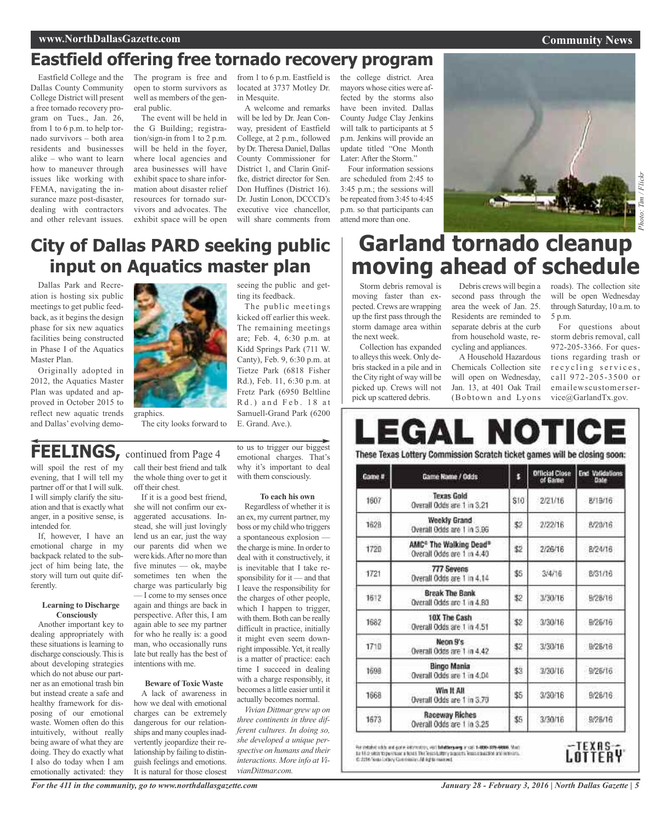## **www.NorthDallasGazette.com**

## **Eastfield offering free tornado recovery program**

Eastfield College and the Dallas County Community College District will present a free tornado recovery program on Tues., Jan. 26, from 1 to 6 p.m. to help tornado survivors – both area residents and businesses alike – who want to learn how to maneuver through issues like working with FEMA, navigating the insurance maze post-disaster, dealing with contractors and other relevant issues.

The program is free and open to storm survivors as well as members of the general public.

The event will be held in the G Building; registration/sign-in from 1 to 2 p.m. will be held in the foyer, where local agencies and area businesses will have exhibit space to share information about disaster relief resources for tornado survivors and advocates. The exhibit space will be open

from 1 to 6 p.m. Eastfield is located at 3737 Motley Dr. in Mesquite.

A welcome and remarks will be led by Dr. Jean Conway, president of Eastfield College, at 2 p.m., followed by Dr.Theresa Daniel, Dallas County Commissioner for District 1, and Clarin Gniffke, district director for Sen. Don Huffines (District 16). Dr. Justin Lonon, DCCCD's executive vice chancellor, will share comments from

seeing the public and get-

The public meetings kicked off earlier this week. The remaining meetings are; Feb. 4, 6:30 p.m. at Kidd Springs Park (711 W. Canty), Feb. 9, 6:30 p.m. at Tietze Park (6818 Fisher Rd.), Feb. 11, 6:30 p.m. at Fretz Park (6950 Beltline Rd.) and Feb. 18 at Samuell-Grand Park (6200

ting its feedback.

E. Grand. Ave.).

the college district. Area mayors whose cities were affected by the storms also have been invited. Dallas County Judge Clay Jenkins will talk to participants at 5 p.m. Jenkins will provide an update titled "One Month Later: After the Storm."

Four information sessions are scheduled from 2:45 to 3:45 p.m.; the sessions will be repeated from 3:45 to 4:45 p.m. so that participants can attend more than one.



## **City of Dallas PARD seeking public input on Aquatics master plan**

Dallas Park and Recreation is hosting six public meetings to get public feedback, as it begins the design phase for six new aquatics facilities being constructed in Phase I of the Aquatics Master Plan.

Originally adopted in 2012, the Aquatics Master Plan was updated and approved in October 2015 to reflect new aquatic trends and Dallas' evolving demo-



The city looks forward to

## **FEELINGS,** continued from Page <sup>4</sup>

will spoil the rest of my evening, that I will tell my partner off or that I will sulk. I will simply clarify the situation and that is exactly what anger, in a positive sense, is intended for.

If, however, I have an emotional charge in my backpack related to the subject of him being late, the story will turn out quite differently.

#### **Learning to Discharge Consciously**

Another important key to dealing appropriately with these situations is learning to discharge consciously. This is about developing strategies which do not abuse our partner as an emotional trash bin but instead create a safe and healthy framework for disposing of our emotional waste. Women often do this intuitively, without really being aware of what they are doing. They do exactly what I also do today when I am emotionally activated: they

call their best friend and talk the whole thing over to get it off their chest.

If it is a good best friend, she will not confirm our exaggerated accusations. Instead, she will just lovingly lend us an ear, just the way our parents did when we were kids.After no more than five minutes — ok, maybe sometimes ten when the charge was particularly big — I come to my senses once again and things are back in perspective. After this, I am again able to see my partner for who he really is: a good man, who occasionally runs late but really has the best of intentions with me.

**Beware of Toxic Waste** A lack of awareness in how we deal with emotional charges can be extremely dangerous for our relationships and many couples inadvertently jeopardize their relationship by failing to distinguish feelings and emotions. It is natural for those closest to us to trigger our biggest emotional charges. That's why it's important to deal with them consciously.

#### **To each his own**

Regardless of whether it is an ex, my current partner, my boss or my child who triggers a spontaneous explosion the charge is mine. In order to deal with it constructively, it is inevitable that I take responsibility for it — and that I leave the responsibility for the charges of other people, which I happen to trigger, with them. Both can be really difficult in practice, initially it might even seem downright impossible.Yet, it really is a matter of practice: each time I succeed in dealing with a charge responsibly, it becomes a little easier until it actually becomes normal.

*Vivian Dittmar grew up on three continents in three different cultures. In doing so, she developed a unique perspective on humans and their interactions. More info at VivianDittmar.com.*

# **Garland tornado cleanup moving ahead of schedule**

Storm debris removal is moving faster than expected. Crews are wrapping up the first pass through the storm damage area within the next week.

Collection has expanded to alleys this week. Only debris stacked in a pile and in the City right of way will be picked up. Crews will not pick up scattered debris.

Debris crews will begin a second pass through the area the week of Jan. 25. Residents are reminded to separate debris at the curb from household waste, recycling and appliances.

A Household Hazardous Chemicals Collection site will open on Wednesday, Jan. 13, at 401 Oak Trail (Bobtown and Lyons

roads). The collection site will be open Wednesday through Saturday, 10 a.m. to 5 p.m.

**Community News**

For questions about storm debris removal, call 972-205-3366. For questions regarding trash or recycling services, call 972-205-3500 or emailewscustomerservice@GarlandTx.gov.

| Game # | Game Name / Odds                                                             | s    | Official Close<br>of Game | <b>End Validations</b><br>Date |
|--------|------------------------------------------------------------------------------|------|---------------------------|--------------------------------|
| 1607   | <b>Texas Gold</b><br>Overall Odds are 1 in 3.21                              | \$10 | 2/21/16                   | B/19/16                        |
| 1628   | Weekly Grand<br>Overall Odds are 1 in 3.96                                   | \$2  | 2/22/16                   | B/20/16                        |
| 1720   | AMC <sup>®</sup> The Walking Dead <sup>®</sup><br>Overall Odds are 1 in 4.40 | \$2  | 2/26/16                   | B/24/16                        |
| 1721   | <b>777 Sevens</b><br>Overall Odds are 1 in 4.14                              | \$5  | 3/4/16                    | 8/31/16                        |
| 1612   | <b>Break The Bank</b><br>Overall Odds are 1 in 4.83                          | \$2  | 3/30/16                   | 9/26/16                        |
| 1682   | 10X The Cash<br>Overall Odds are 1 in 4.51                                   |      | 3/30/16                   | 9/26/16                        |
| 1710   | Neon 9's<br>Overall Odds are 1 in 4.42                                       |      | 3/30/16                   | 9/25/16                        |
| 1698   | Bingo Mania<br>Overall Odds are 1 in 4:04                                    |      | 3/30/16                   | 9/26/16                        |
| 1668   | Win It All<br>Overall Odds are 1 in 3.70                                     | \$5  | 3/30/16                   | 9/26/16                        |
| 1673   | Raceway Riches<br>Overall Odds are 1 in 3.25                                 | \$5  | 3/30/16                   | 9/25/16                        |

For tratalst vides and gums internation, vari behalterpang at call 1-800-376-6600. Most to portrait at heater<br>In 1832 oktor to portrase a head. The Testa Liftery supports forms counting and research.<br>C 2016 Seas Lickey Com

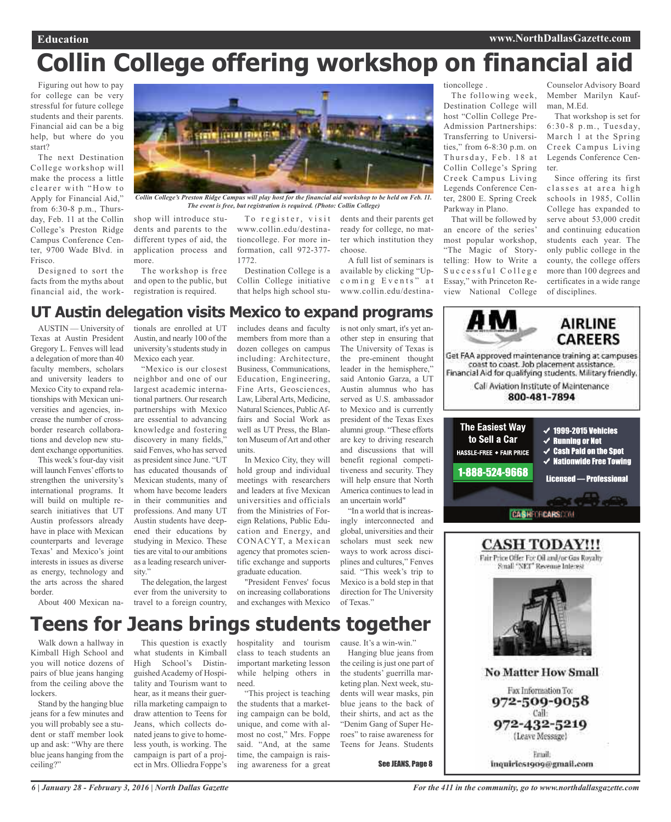# **Collin College offering workshop on financial aid**

Figuring out how to pay for college can be very stressful for future college students and their parents. Financial aid can be a big help, but where do you start?

The next Destination College workshop will make the process a little clearer with "How to Apply for Financial Aid," from 6:30-8 p.m., Thursday, Feb. 11 at the Collin College's Preston Ridge Campus Conference Center, 9700 Wade Blvd. in Frisco.

Designed to sort the facts from the myths about financial aid, the work-



Collin College's Preston Ridge Campus will play host for the financial aid workshop to be held on Feb. 11. *The event is free, but registration is required. (Photo: Collin College)*

shop will introduce students and parents to the different types of aid, the application process and more.

The workshop is free and open to the public, but registration is required.

To register, visit www.collin.edu/destinationcollege. For more information, call 972-377- 1772.

Destination College is a Collin College initiative that helps high school stu-

includes deans and faculty

dents and their parents get ready for college, no matter which institution they choose. A full list of seminars is

available by clicking "Upcoming Events" at www.collin.edu/destina-

The following week, Destination College will host "Collin College Pre-Admission Partnerships: Transferring to Universities," from 6-8:30 p.m. on Thursday, Feb. 18 at Collin College's Spring Creek Campus Living Legends Conference Center, 2800 E. Spring Creek

tioncollege .

Parkway in Plano. That will be followed by an encore of the series' most popular workshop, "The Magic of Storytelling: How to Write a Successful College Essay," with Princeton Review National College

Counselor Advisory Board Member Marilyn Kaufman, M.Ed.

That workshop is set for 6:30-8 p.m., Tuesday, March 1 at the Spring Creek Campus Living Legends Conference Center.

Since offering its first classes at area high schools in 1985, Collin College has expanded to serve about 53,000 credit and continuing education students each year. The only public college in the county, the college offers more than 100 degrees and certificates in a wide range of disciplines.



Call Aviation Institute of Maintenance 800-481-7894





inquiries1909@gmail.com

## **UT Austin delegation visits Mexico to expand programs**

AUSTIN — University of Texas at Austin President Gregory L. Fenves will lead a delegation of more than 40 faculty members, scholars and university leaders to Mexico City to expand relationships with Mexican universities and agencies, increase the number of crossborder research collaborations and develop new student exchange opportunities.

This week's four-day visit will launch Fenves' efforts to strengthen the university's international programs. It will build on multiple research initiatives that UT Austin professors already have in place with Mexican counterparts and leverage Texas' and Mexico's joint interests in issues as diverse as energy, technology and the arts across the shared border.

About 400 Mexican na-

tionals are enrolled at UT Austin, and nearly 100 of the university's students study in Mexico each year.

"Mexico is our closest neighbor and one of our largest academic international partners. Our research partnerships with Mexico are essential to advancing knowledge and fostering discovery in many fields," said Fenves, who has served as president since June. "UT has educated thousands of Mexican students, many of whom have become leaders in their communities and professions. And many UT Austin students have deepened their educations by studying in Mexico. These ties are vital to our ambitions as a leading research university."

The delegation, the largest ever from the university to travel to a foreign country,

members from more than a dozen colleges on campus including: Architecture, Business, Communications, Education, Engineering, Fine Arts, Geosciences, Law, Liberal Arts, Medicine, Natural Sciences, PublicAffairs and Social Work as well as UT Press, the Blanton Museum ofArt and other units.

In Mexico City, they will hold group and individual meetings with researchers and leaders at five Mexican universities and officials from the Ministries of Foreign Relations, Public Education and Energy, and CONACYT, a Mexican agency that promotes scientific exchange and supports graduate education.

"President Fenves' focus on increasing collaborations and exchanges with Mexico

The University of Texas is the pre-eminent thought leader in the hemisphere," said Antonio Garza, a UT Austin alumnus who has served as U.S. ambassador to Mexico and is currently president of the Texas Exes alumni group. "These efforts are key to driving research and discussions that will benefit regional competitiveness and security. They will help ensure that North America continues to lead in an uncertain world"

"In a world that isincreasingly interconnected and global, universities and their scholars must seek new ways to work across disciplines and cultures," Fenves said. "This week's trip to Mexico is a bold step in that direction for The University of Texas."

## **Teens for Jeans brings students together**

Walk down a hallway in Kimball High School and you will notice dozens of pairs of blue jeans hanging from the ceiling above the lockers.

Stand by the hanging blue jeans for a few minutes and you will probably see a student or staff member look up and ask: "Why are there blue jeans hanging from the ceiling?"

This question is exactly what students in Kimball High School's Distinguished Academy of Hospitality and Tourism want to hear, as it means their guerrilla marketing campaign to draw attention to Teens for Jeans, which collects donated jeans to give to homeless youth, is working. The campaign is part of a project in Mrs. Olliedra Foppe's hospitality and tourism class to teach students an important marketing lesson while helping others in need.

"This project is teaching the students that a marketing campaign can be bold, unique, and come with almost no cost," Mrs. Foppe said. "And, at the same time, the campaign is raising awareness for a great

cause. It's a win-win."

Hanging blue jeans from the ceiling is just one part of the students' guerrilla marketing plan. Next week, students will wear masks, pin blue jeans to the back of their shirts, and act as the "Denim Gang of Super Heroes" to raise awareness for Teens for Jeans. Students

See JEANS, Page 8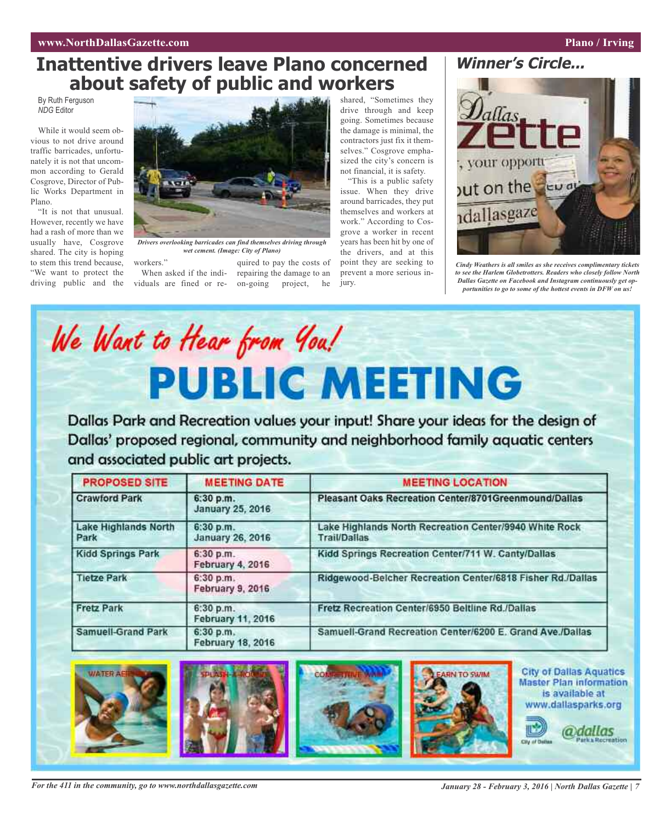## **Inattentive drivers leave Plano concerned Winner's Circle... about safety of public and workers**

By Ruth Ferguson *NDG* Editor

While it would seem obvious to not drive around traffic barricades, unfortunately it is not that uncommon according to Gerald Cosgrove, Director of Public Works Department in Plano.

"It is not that unusual. However, recently we have had a rash of more than we usually have, Cosgrove shared. The city is hoping to stem this trend because, "We want to protect the driving public and the



*Drivers overlooking barricades can find themselves driving through wet cement. (Image: City of Plano)*

workers." When asked if the indi- repairing the damage to an viduals are fined or re-on-going project, he shared, "Sometimes they drive through and keep going. Sometimes because the damage is minimal, the contractors just fix it themselves." Cosgrove emphasized the city's concern is not financial, it is safety.

"This is a public safety issue. When they drive around barricades, they put themselves and workers at work." According to Cosgrove a worker in recent years has been hit by one of the drivers, and at this point they are seeking to prevent a more serious injury.



*Cindy Weathers is all smiles as she receives complimentary tickets to see the Harlem Globetrotters. Readers who closely follow North Dallas Gazette on Facebook and Instagram continuously get opportunities to go to some of the hottest events in DFW on us!*

# We Want to Hear from You! **PUBLIC MEETING**

quired to pay the costs of

Dallas Park and Recreation values your input! Share your ideas for the design of Dallas' proposed regional, community and neighborhood family aquatic centers and associated public art projects.

| <b>PROPOSED SITE</b>                                               | <b>MEETING DATE</b>                  | <b>MEETING LOCATION</b>                                                       |  |  |
|--------------------------------------------------------------------|--------------------------------------|-------------------------------------------------------------------------------|--|--|
| <b>Crawford Park</b>                                               | 6:30 p.m.<br>January 25, 2016        | Pleasant Oaks Recreation Center/8701Greenmound/Dallas                         |  |  |
| <b>Lake Highlands North</b><br>Park                                | 6:30 p.m.<br><b>January 26, 2016</b> | Lake Highlands North Recreation Center/9940 White Rock<br><b>Trail/Dallas</b> |  |  |
| <b>Kidd Springs Park</b><br>6:30 p.m.<br>February 4, 2016          |                                      | Kidd Springs Recreation Center/711 W. Canty/Dallas                            |  |  |
| <b>Tietze Park</b><br>6:30 p.m.<br>February 9, 2016                |                                      | Ridgewood-Beicher Recreation Center/6818 Fisher Rd./Dallas                    |  |  |
| <b>Fretz Park</b><br>6:30 p.m.<br>February 11, 2016                |                                      | Fretz Recreation Center/6950 Beltline Rd./Dallas                              |  |  |
| <b>Samuell-Grand Park</b><br>6:30 p.m.<br><b>February 18, 2016</b> |                                      | Samuell-Grand Recreation Center/6200 E. Grand Ave./Dallas                     |  |  |









**City of Dallas Aquatics** Master Plan information is available at www.dallasparks.org

For the 411 in the community, go to www.northdallasgazette.com January 28 - February 3, 2016 | North Dallas Gazette | 7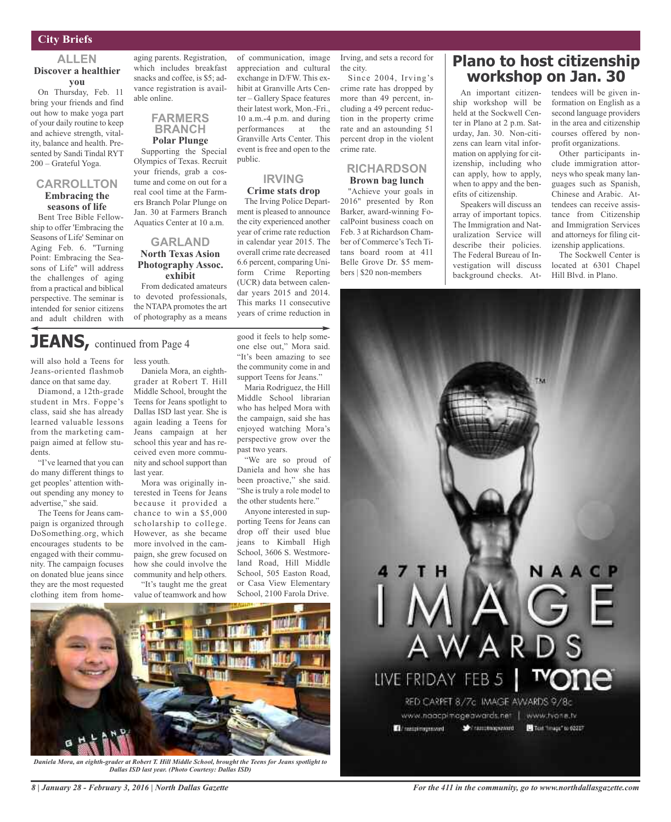## **City Briefs**

## **ALLEN Discover a healthier you**

On Thursday, Feb. 11 bring your friends and find out how to make yoga part of your daily routine to keep and achieve strength, vitality, balance and health. Presented by Sandi Tindal RYT 200 – Grateful Yoga.

## **CARROLLTON Embracing the seasons of life**

Bent Tree Bible Fellowship to offer 'Embracing the Seasons of Life' Seminar on Aging Feb. 6. "Turning Point: Embracing the Seasons of Life" will address the challenges of aging from a practical and biblical perspective. The seminar is intended for senior citizens and adult children with

aging parents. Registration, which includes breakfast snacks and coffee, is \$5; advance registration is available online.

## **FARMERS BRANCH Polar Plunge**

Supporting the Special Olympics of Texas. Recruit your friends, grab a costume and come on out for a real cool time at the Farmers Branch Polar Plunge on Jan. 30 at Farmers Branch Aquatics Center at 10 a.m.

## **GARLAND**

## **North Texas Asion Photography Assoc. exhibit**

From dedicated amateurs to devoted professionals, the NTAPA promotes the art of photography as a means

## **JEANS**, continued from Page 4

will also hold a Teens for Jeans-oriented flashmob dance on that same day.

Diamond, a 12th-grade student in Mrs. Foppe's class, said she has already learned valuable lessons from the marketing campaign aimed at fellow students.

"I've learned that you can do many different things to get peoples' attention without spending any money to advertise," she said.

The Teens for Jeans campaign is organized through DoSomething.org, which encourages students to be engaged with their community. The campaign focuses on donated blue jeans since they are the most requested clothing item from homeless youth.

Daniela Mora, an eighthgrader at Robert T. Hill Middle School, brought the Teens for Jeans spotlight to Dallas ISD last year. She is again leading a Teens for Jeans campaign at her school this year and has received even more community and school support than last year.

Mora was originally interested in Teens for Jeans because it provided a chance to win a \$5,000 scholarship to college. However, as she became more involved in the campaign, she grew focused on how she could involve the community and help others.

"It's taught me the great value of teamwork and how good it feels to help someone else out," Mora said. "It's been amazing to see the community come in and support Teens for Jeans."

of communication, image appreciation and cultural exchange in D/FW. This exhibit at Granville Arts Center – Gallery Space features their latest work, Mon.-Fri., 10 a.m.-4 p.m. and during performances at the Granville Arts Center. This event is free and open to the

**IRVING Crime stats drop** The Irving Police Department is pleased to announce the city experienced another year of crime rate reduction in calendar year 2015. The overall crime rate decreased 6.6 percent, comparing Uniform Crime Reporting (UCR) data between calendar years 2015 and 2014. This marks 11 consecutive years of crime reduction in

public.

Maria Rodriguez, the Hill Middle School librarian who has helped Mora with the campaign, said she has enjoyed watching Mora's perspective grow over the past two years.

"We are so proud of Daniela and how she has been proactive," she said. "She is truly a role model to the other students here."

Anyone interested in supporting Teens for Jeans can drop off their used blue jeans to Kimball High School, 3606 S. Westmoreland Road, Hill Middle School, 505 Easton Road, or Casa View Elementary School, 2100 Farola Drive.

Irving, and sets a record for the city.

Since 2004, Irving's crime rate has dropped by more than 49 percent, including a 49 percent reduction in the property crime rate and an astounding 51 percent drop in the violent crime rate.

## **RICHARDSON Brown bag lunch**

"Achieve your goals in 2016" presented by Ron Barker, award-winning FocalPoint business coach on Feb. 3 at Richardson Chamber of Commerce's Tech Titans board room at 411 Belle Grove Dr. \$5 members | \$20 non-members

## **Plano to host citizenship workshop on Jan. 30**

An important citizenship workshop will be held at the Sockwell Center in Plano at 2 p.m. Saturday, Jan. 30. Non-citizens can learn vital information on applying for citizenship, including who can apply, how to apply, when to appy and the benefits of citizenship.

Speakers will discuss an array of important topics. The Immigration and Naturalization Service will describe their policies. The Federal Bureau of Investigation will discuss background checks. Attendees will be given information on English as a second language providers in the area and citizenship courses offered by nonprofit organizations.

Other participants include immigration attorneys who speak many languages such as Spanish, Chinese and Arabic. Attendees can receive assistance from Citizenship and Immigration Services and attorneys for filing citizenship applications.

The Sockwell Center is located at 6301 Chapel Hill Blvd. in Plano.





*Daniela Mora, an eighth-grader at Robert T. Hill Middle School, brought the Teens for Jeans spotlight to Dallas ISD last year. (Photo Courtesy: Dallas ISD)*

*8 | January 28 - February 3, 2016 | North Dallas Gazette*

*For the 411 in the community, go to www.northdallasgazette.com*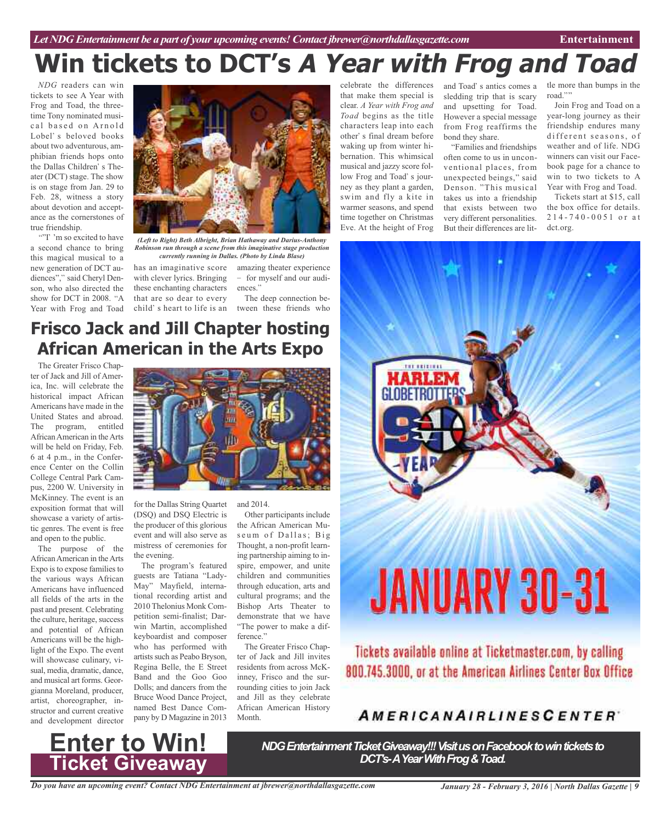# **Win tickets to DCT's A Year with Frog and Toad**

*NDG* readers can win tickets to see A Year with Frog and Toad, the threetime Tony nominated musical based on Arnold Lobel's beloved books about two adventurous, amphibian friends hops onto the Dallas Children's Theater (DCT) stage. The show is on stage from Jan. 29 to Feb. 28, witness a story about devotion and acceptance as the cornerstones of true friendship.

""I" 'm so excited to have a second chance to bring this magical musical to a new generation of DCT audiences"," said Cheryl Denson, who also directed the show for DCT in 2008. "A Year with Frog and Toad



*(Left to Right) Beth Albright, Brian Hathaway and Darius-Anthony Robinson run through a scene from this imaginative stage production currently running in Dallas. (Photo by Linda Blase)*

has an imaginative score with clever lyrics. Bringing these enchanting characters that are so dear to every child's heart to life is an tween these friends who

amazing theater experience - for myself and our audiences.

The deep connection be-

## **Frisco Jack and Jill Chapter hosting African American in the Arts Expo**

The Greater Frisco Chapter of Jack and Jill of America, Inc. will celebrate the historical impact African Americans have made in the United States and abroad. The program, entitled African American in the Arts will be held on Friday, Feb. 6 at 4 p.m., in the Conference Center on the Collin College Central Park Campus, 2200 W. University in McKinney. The event is an exposition format that will showcase a variety of artistic genres. The event is free and open to the public.

The purpose of the African American in the Arts Expo is to expose families to the various ways African Americans have influenced all fields of the arts in the past and present. Celebrating the culture, heritage, success and potential of African Americans will be the highlight of the Expo. The event will showcase culinary, visual, media, dramatic, dance, and musical art forms. Georgianna Moreland, producer, artist, choreographer, instructor and current creative and development director



for the Dallas String Quartet (DSQ) and DSQ Electric is the producer of this glorious event and will also serve as mistress of ceremonies for the evening.

The program's featured guests are Tatiana "Lady-May" Mayfield, international recording artist and 2010 Thelonius Monk Competition semi-finalist; Darwin Martin, accomplished keyboardist and composer who has performed with artists such as Peabo Bryson, Regina Belle, the E Street Band and the Goo Goo Dolls; and dancers from the Bruce Wood Dance Project, named Best Dance Company by D Magazine in 2013

and 2014.

Other participants include the African American Museum of Dallas; Big Thought, a non-profit learning partnership aiming to inspire, empower, and unite children and communities through education, arts and cultural programs; and the Bishop Arts Theater to demonstrate that we have "The power to make a difference."

The Greater Frisco Chapter of Jack and Jill invites residents from across McKinney, Frisco and the surrounding cities to join Jack and Jill as they celebrate African American History Month.

celebrate the differences that make them special is clear. *A Year with Frog and Toad* begins as the title characters leap into each other's final dream before waking up from winter hibernation. This whimsical musical and jazzy score follow Frog and Toad's journey as they plant a garden, swim and fly a kite in warmer seasons, and spend time together on Christmas Eve. At the height of Frog

and Toad's antics comes a sledding trip that is scary and upsetting for Toad. However a special message from Frog reaffirms the bond they share.

"Families and friendships often come to us in unconventional places, from unexpected beings," said Denson. "This musical takes us into a friendship that exists between two very different personalities. But their differences are little more than bumps in the road."

Join Frog and Toad on a year-long journey as their friendship endures many different seasons, of weather and of life. NDG winners can visit our Facebook page for a chance to win to two tickets to A Year with Frog and Toad.

Tickets start at \$15, call the box office for details. 2 1 4 - 7 4 0 - 0 0 5 1 or at dct.org.



# **JANUARY 30-31**

Tickets available online at Ticketmaster.com, by calling 800.745.3000, or at the American Airlines Center Box Office

## AMERICANAIRLINESCENTER'

**Enter to Win! Ticket Giveaway**

*NDG Entertainment Ticket Giveaway!!! Visit us on Facebook to win tickets to*<br>DCTs-A Year With Frog & Toad.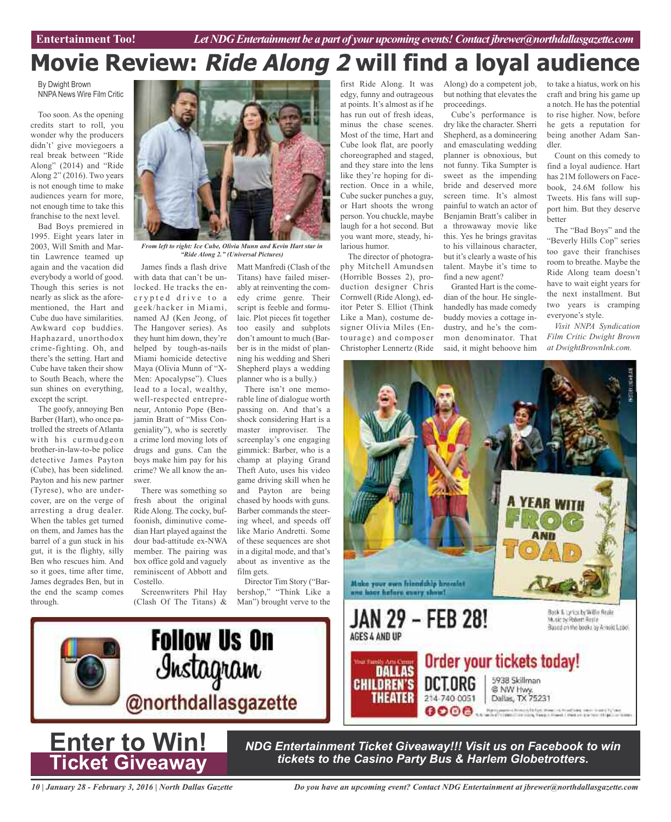# **Movie Review: Ride Along 2 will find a loyal audience**

By Dwight Brown NNPA News Wire Film Critic

Too soon. As the opening credits start to roll, you wonder why the producers didn't' give moviegoers a real break between "Ride Along" (2014) and "Ride Along 2" (2016). Two years is not enough time to make audiences yearn for more, not enough time to take this franchise to the next level.

Bad Boys premiered in 1995. Eight years later in 2003, Will Smith and Martin Lawrence teamed up again and the vacation did everybody a world of good. Though this series is not nearly as slick as the aforementioned, the Hart and Cube duo have similarities. Awkward cop buddies. Haphazard, unorthodox crime-fighting. Oh, and there's the setting. Hart and Cube have taken their show to South Beach, where the sun shines on everything, except the script.

The goofy, annoying Ben Barber (Hart), who once patrolled the streets of Atlanta with his curmudgeon brother-in-law-to-be police detective James Payton (Cube), has been sidelined. Payton and his new partner (Tyrese), who are undercover, are on the verge of arresting a drug dealer. When the tables get turned on them, and James has the barrel of a gun stuck in his gut, it is the flighty, silly Ben who rescues him. And so it goes, time after time, James degrades Ben, but in the end the scamp comes through.



*From left to right: Ice Cube, Olivia Munn and Kevin Hart star in "Ride Along 2." (Universal Pictures)*

James finds a flash drive with data that can't be unlocked. He tracks the enc r y p t e d d rive to a geek/hacker in Miami, named AJ (Ken Jeong, of The Hangover series). As they hunt him down, they're helped by tough-as-nails Miami homicide detective Maya (Olivia Munn of "X-Men: Apocalypse"). Clues lead to a local, wealthy, well-respected entrepreneur, Antonio Pope (Benjamin Bratt of "Miss Congeniality"), who is secretly a crime lord moving lots of drugs and guns. Can the boys make him pay for his crime? We all know the answer.

There was something so fresh about the original Ride Along. The cocky, buffoonish, diminutive comedian Hart played against the dour bad-attitude ex-NWA member. The pairing was box office gold and vaguely reminiscent of Abbott and Costello.

Screenwriters Phil Hay (Clash Of The Titans) &

Matt Manfredi (Clash of the Titans) have failed miserably at reinventing the comedy crime genre. Their script is feeble and formulaic. Plot pieces fit together too easily and subplots don't amount to much (Barber is in the midst of planning his wedding and Sheri Shepherd plays a wedding planner who is a bully.)

There isn't one memorable line of dialogue worth passing on. And that's a shock considering Hart is a master improviser. The screenplay's one engaging gimmick: Barber, who is a champ at playing Grand Theft Auto, uses his video game driving skill when he and Payton are being chased by hoods with guns. Barber commands the steering wheel, and speeds off like Mario Andretti. Some of these sequences are shot in a digital mode, and that's about as inventive as the film gets.

Director Tim Story ("Barbershop," "Think Like a Man") brought verve to the

first Ride Along. It was edgy, funny and outrageous at points. It's almost as if he has run out of fresh ideas, minus the chase scenes. Most of the time, Hart and Cube look flat, are poorly choreographed and staged, and they stare into the lens like they're hoping for direction. Once in a while, Cube sucker punches a guy, or Hart shoots the wrong person. You chuckle, maybe laugh for a hot second. But you want more, steady, hilarious humor.

The director of photography Mitchell Amundsen (Horrible Bosses 2), production designer Chris Cornwell (Ride Along), editor Peter S. Elliot (Think Like a Man), costume designer Olivia Miles (Entourage) and composer Christopher Lennertz (Ride

Along) do a competent job, but nothing that elevates the proceedings.

Cube's performance is dry like the character. Sherri Shepherd, as a domineering and emasculating wedding planner is obnoxious, but not funny. Tika Sumpter is sweet as the impending bride and deserved more screen time. It's almost painful to watch an actor of Benjamin Bratt's caliber in a throwaway movie like this. Yes he brings gravitas to his villainous character, but it's clearly a waste of his talent. Maybe it's time to find a new agent?

Granted Hart is the comedian of the hour. He singlehandedly has made comedy buddy movies a cottage industry, and he's the common denominator. That said, it might behoove him to take a hiatus, work on his craft and bring his game up a notch. He has the potential to rise higher. Now, before he gets a reputation for being another Adam Sandler.

Count on this comedy to find a loyal audience. Hart has 21M followers on Facebook, 24.6M follow his Tweets. His fans will support him. But they deserve better

The "Bad Boys" and the "Beverly Hills Cop" series too gave their franchises room to breathe. Maybe the Ride Along team doesn't have to wait eight years for the next installment. But two years is cramping everyone's style.

*Visit NNPA Syndication Film Critic Dwight Brown at DwightBrownInk.com.*





*NDG Entertainment Ticket Giveaway!!! Visit us on Facebook to win tickets to the Casino Party Bus & Harlem Globetrotters.*

*10 | January 28 - February 3, 2016 | North Dallas Gazette*

**Enter to Win!**

**Ticket Giveaway**

*Do you have an upcoming event? Contact NDG Entertainment at jbrewer@northdallasgazette.com*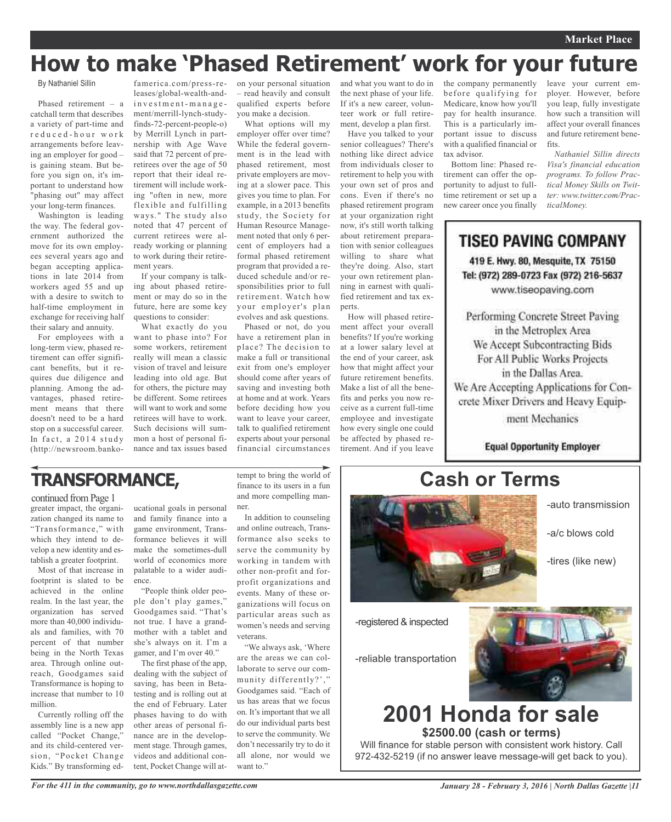## **How to make 'Phased Retirement' work for your future**

By Nathaniel Sillin

Phased retirement – a catchall term that describes a variety of part-time and reduced-hour work arrangements before leaving an employer for good – is gaining steam. But before you sign on, it's important to understand how "phasing out" may affect your long-term finances.

Washington is leading the way. The federal government authorized the move for its own employees several years ago and began accepting applications in late 2014 from workers aged 55 and up with a desire to switch to half-time employment in exchange for receiving half their salary and annuity.

For employees with a long-term view, phased retirement can offer significant benefits, but it requires due diligence and planning. Among the advantages, phased retirement means that there doesn't need to be a hard stop on a successful career. In fact, a  $2014$  study (http://newsroom.banko-

famerica.com/press-releases/global-wealth-andi n v e st m e n t - m a n a g e ment/merrill-lynch-studyfinds-72-percent-people-o) by Merrill Lynch in partnership with Age Wave said that 72 percent of preretirees over the age of 50 report that their ideal retirement will include working "often in new, more flexible and fulfilling ways. " The study also noted that 47 percent of current retirees were already working or planning to work during their retirement years.

If your company is talking about phased retirement or may do so in the future, here are some key questions to consider:

What exactly do you want to phase into? For some workers, retirement really will mean a classic vision of travel and leisure leading into old age. But for others, the picture may be different. Some retirees will want to work and some retirees will have to work. Such decisions will summon a host of personal finance and tax issues based

on your personal situation – read heavily and consult qualified experts before you make a decision.

What options will my employer offer over time? While the federal government is in the lead with phased retirement, most private employers are moving at a slower pace. This gives you time to plan. For example, in a 2013 benefits study, the Society for Human Resource Management noted that only 6 percent of employers had a formal phased retirement program that provided a reduced schedule and/or responsibilities prior to full retirement. Watch how your employer's plan evolves and ask questions.

Phased or not, do you have a retirement plan in place? The decision to make a full or transitional exit from one's employer should come after years of saving and investing both at home and at work. Years before deciding how you want to leave your career, talk to qualified retirement experts about your personal financial circumstances

and what you want to do in the next phase of your life. If it's a new career, volunteer work or full retirement, develop a plan first.

Have you talked to your senior colleagues? There's nothing like direct advice from individuals closer to retirement to help you with your own set of pros and cons. Even if there's no phased retirement program at your organization right now, it's still worth talking about retirement preparation with senior colleagues willing to share what they're doing. Also, start your own retirement planning in earnest with qualified retirement and tax experts.

How will phased retirement affect your overall benefits? If you're working at a lower salary level at the end of your career, ask how that might affect your future retirement benefits. Make a list of all the benefits and perks you now receive as a current full-time employee and investigate how every single one could be affected by phased retirement. And if you leave

the company permanently before qualifying for Medicare, know how you'll pay for health insurance. This is a particularly important issue to discuss with a qualified financial or tax advisor.

Bottom line: Phased retirement can offer the opportunity to adjust to fulltime retirement or set up a new career once you finally

leave your current employer. However, before you leap, fully investigate how such a transition will affect your overall finances and future retirement benefits.

*Nathaniel Sillin directs Visa's financial education programs. To follow Practical Money Skills on Twitter: www.twitter.com/PracticalMoney.*

## TISEO PAVING COMPANY 419 E. Hwy. 80, Mesquite, TX 75150 Tel: (972) 289-0723 Fax (972) 216-5637 www.tiseopaving.com

Performing Concrete Street Paving in the Metroplex Area We Accept Subcontracting Bids For All Public Works Projects in the Dallas Area. We Are Accepting Applications for Concrete Mixer Drivers and Heavy Equipment Mechanics

**Equal Opportunity Employer** 



**\$2500.00 (cash or terms)**

Will finance for stable person with consistent work history. Call 972-432-5219 (if no answer leave message-will get back to you).

## **TRANSFORMANCE,** tempt to bring the world of **Cash** or Terms

greater impact, the organization changed its name to "Transformance," with which they intend to develop a new identity and establish a greater footprint. continued fromPage 1

Most of that increase in footprint is slated to be achieved in the online realm. In the last year, the organization has served more than 40,000 individuals and families, with 70 percent of that number being in the North Texas area. Through online outreach, Goodgames said Transformance is hoping to increase that number to 10 million.

Currently rolling off the assembly line is a new app called "Pocket Change," and its child-centered version, "Pocket Change Kids." By transforming ed-

ucational goals in personal and family finance into a game environment, Transformance believes it will make the sometimes-dull world of economics more palatable to a wider audience.

"People think older people don't play games," Goodgames said. "That's not true. I have a grandmother with a tablet and she's always on it. I'm a gamer, and I'm over 40."

The first phase of the app, dealing with the subject of saving, has been in Betatesting and is rolling out at the end of February. Later phases having to do with other areas of personal finance are in the development stage. Through games, videos and additional content, Pocket Change will attempt to bring the world of finance to its users in a fun and more compelling manner.

In addition to counseling and online outreach, Transformance also seeks to serve the community by working in tandem with other non-profit and forprofit organizations and events. Many of these organizations will focus on particular areas such as women's needs and serving veterans.

"We always ask, 'Where are the areas we can collaborate to serve our community differently?'," Goodgames said. "Each of us has areas that we focus on. It's important that we all do our individual parts best to serve the community. We don't necessarily try to do it all alone, nor would we want to."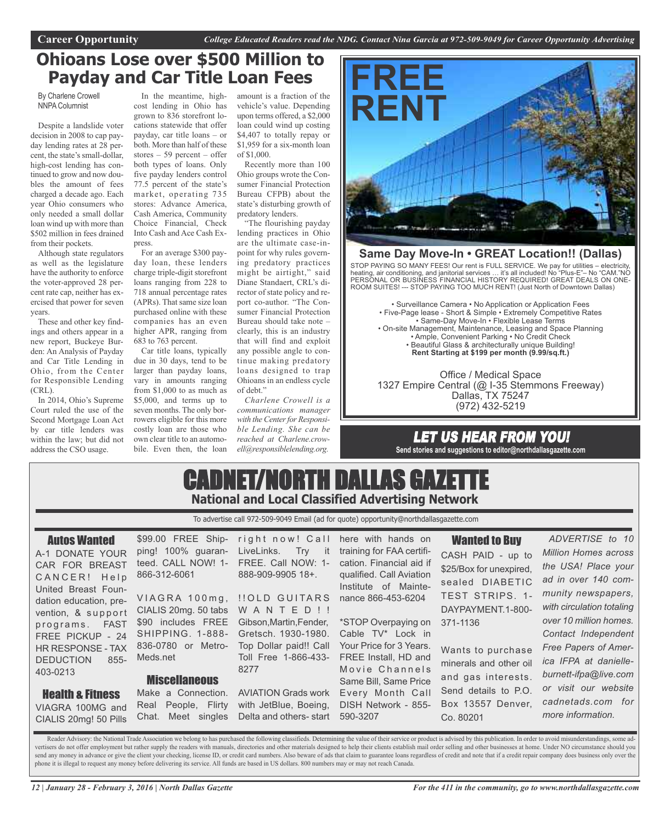## **Ohioans Lose over \$500 Million to Payday and Car Title Loan Fees**

By Charlene Crowell NNPA Columnist

Despite a landslide voter decision in 2008 to cap payday lending rates at 28 percent, the state's small-dollar, high-cost lending has continued to grow and now doubles the amount of fees charged a decade ago. Each year Ohio consumers who only needed a small dollar loan wind up with more than \$502 million in fees drained from their pockets.

Although state regulators as well as the legislature have the authority to enforce the voter-approved 28 percent rate cap, neither has exercised that power for seven years.

These and other key findings and others appear in a new report, Buckeye Burden: An Analysis of Payday and Car Title Lending in Ohio, from the Center for Responsible Lending  $(CRI)$ .

In 2014, Ohio's Supreme Court ruled the use of the Second Mortgage Loan Act by car title lenders was within the law; but did not address the CSO usage.

In the meantime, highcost lending in Ohio has grown to 836 storefront locations statewide that offer payday, car title loans – or both. More than half of these stores – 59 percent – offer both types of loans. Only five payday lenders control 77.5 percent of the state's market, operating 735 stores: Advance America, Cash America, Community Choice Financial, Check Into Cash and Ace Cash Express.

For an average \$300 payday loan, these lenders charge triple-digit storefront loans ranging from 228 to 718 annual percentage rates (APRs). That same size loan purchased online with these companies has an even higher APR, ranging from 683 to 763 percent.

Car title loans, typically due in 30 days, tend to be larger than payday loans, vary in amounts ranging from \$1,000 to as much as \$5,000, and terms up to seven months. The only borrowers eligible for this more costly loan are those who own clear title to an automobile. Even then, the loan

amount is a fraction of the vehicle's value. Depending upon terms offered, a \$2,000 loan could wind up costing \$4,407 to totally repay or \$1,959 for a six-month loan of \$1,000.

Recently more than 100 Ohio groups wrote the Consumer Financial Protection Bureau CFPB) about the state's disturbing growth of predatory lenders.

"The flourishing payday lending practices in Ohio are the ultimate case-inpoint for why rules governing predatory practices might be airtight," said Diane Standaert, CRL's director of state policy and report co-author. "The Consumer Financial Protection Bureau should take note – clearly, this is an industry that will find and exploit any possible angle to continue making predatory loans designed to trap Ohioans in an endless cycle of debt."

*Charlene Crowell is a communications manager*  $with the Center for Responsibility$ *ble Lending. She can be reached at Charlene.crowell@responsiblelending.org.*



## **Same Day Move-In • GREAT Location!! (Dallas)**

STOP PAYING SO MANY FEES! Our rent is FULL SERVICE. We pay for utilities – electricity, heating, air conditioning, and janitorial services … it's all included! No "Plus-E"– No "CAM."NO PERSONAL OR BUSINESS FINANCIAL HISTORY REQUIRED! GREAT DEALS ON ONE-ROOM SUITES! --- STOP PAYING TOO MUCH RENT! (Just North of Downtown Dallas)

• Surveillance Camera • No Application or Application Fees • Five-Page lease - Short & Simple • Extremely Competitive Rates • Same-Day Move-In • Flexible Lease Terms • On-site Management, Maintenance, Leasing and Space Planning • Ample, Convenient Parking • No Credit Check • Beautiful Glass & architecturally unique Building! **Rent Starting at \$199 per month (9.99/sq.ft.)**

Office / Medical Space 1327 Empire Central (@ I-35 Stemmons Freeway) Dallas, TX 75247 (972) 432-5219

## LET US HEAR FROM YOU! **Send stories and suggestions to editor@northdallasgazette.com**

CADNET/NORTH DALLAS GAZETTE **National and Local Classified Advertising Network**

To advertise call 972-509-9049 Email (ad for quote) opportunity@northdallasgazette.com

## Autos Wanted A-1 DONATE YOUR CAR FOR BREAST CANCER! Help United Breast Foundation education, prevention, & support programs. FAST FREE PICKUP - 24 HR RESPONSE - TAX DEDUCTION 855- 403-0213

Health & Fitness

VIAGRA 100MG and CIALIS 20mg! 50 Pills 866-312-6061 \$90 includes FREE SHIPPING. 1-888- 836-0780 or Metro-

**Miscellaneous** Make a Connection. Real People, Flirty Chat. Meet singles

Meds.net

\$99.00 FREE Ship-r i g h t n o w ! C a l l ping! 100% guaran-LiveLinks. Try it teed. CALL NOW! 1- FREE. Call NOW: 1- 888-909-9905 18+.

VIAGRA 100mg, ‼OLD GUITARS CIALIS 20mg. 50 tabs W A N T E D ! ! Gibson,Martin,Fender, Gretsch. 1930-1980. Top Dollar paid!! Call Toll Free 1-866-433- 8277

> AVIATION Grads work with JetBlue, Boeing, Delta and others- start

here with hands on training for FAA certification. Financial aid if qualified. Call Aviation Institute of Maintenance 866-453-6204

\*STOP Overpaying on Cable TV\* Lock in Your Price for 3 Years. FREE Install, HD and Movie Channels Same Bill, Same Price Every Month Call DISH Network - 855- 590-3207

## Wanted to Buy

CASH PAID - up to \$25/Box for unexpired, sealed DIABETIC TEST STRIPS. 1- DAYPAYMENT.1-800- 371-1136

Wants to purchase minerals and other oil and gas interests. Send details to P.O. Box 13557 Denver, Co. 80201

*ADVERTISE to 10 Million Homes across the USA! Place your ad in over 140 community newspapers, with circulation totaling over 10 million homes. Contact Independent Free Papers of America IFPA at danielleburnett-ifpa@live.com or visit our website cadnetads.com for more information.*

Reader Advisory: the National Trade Association we belong to has purchased the following classifieds. Determining the value of their service or product is advised by this publication. In order to avoid misunderstandings, s vertisers do not offer employment but rather supply the readers with manuals, directories and other materials designed to help their clients establish mail order selling and other businesses at home. Under NO circumstance send any money in advance or give the client your checking, license ID, or credit card numbers. Also beware of ads that claim to guarantee loans regardless of credit and note that if a credit repair company does business o phone it is illegal to request any money before delivering its service. All funds are based in US dollars. 800 numbers may or may not reach Canada.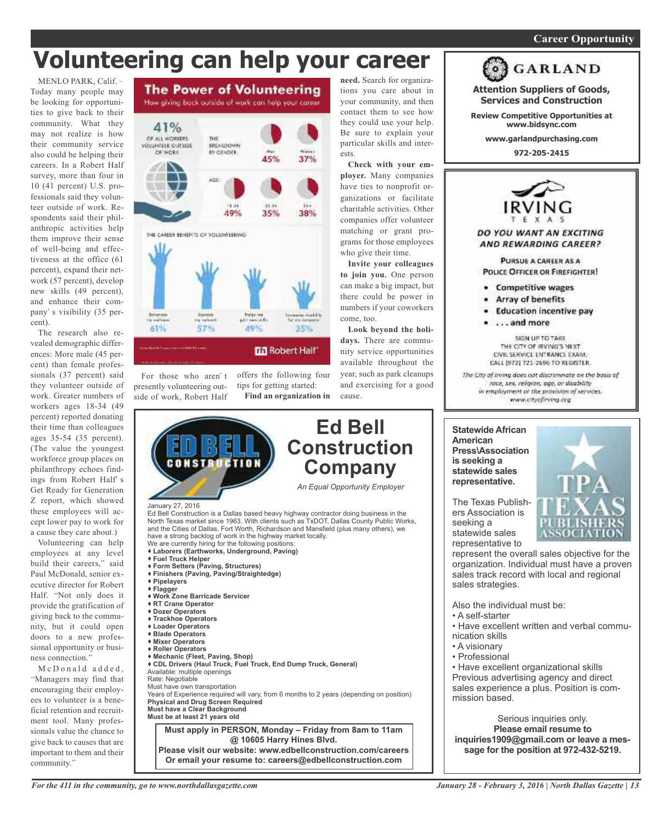## *On a quest for qualified candidates? Contact Nina Garcia at 972-509-9049* **Career Opportunity**

# **Volunteering can help your career**

MENLO PARK, Calif. Today many people may be looking for opportunities to give back to their community. What they may not realize is how their community service also could be helping their careers. In a Robert Half survey, more than four in 10 (41 percent) U.S. professionals said they volunteer outside of work. Respondents said their philanthropic activities help them improve their sense of well-being and effectiveness at the office (61 percent), expand their network (57 percent), develop new skills (49 percent), and enhance their company's visibility (35 percent).

The research also revealed demographic differences: More male (45 percent) than female professionals (37 percent) said they volunteer outside of work. Greater numbers of workers ages 18-34 (49 percent) reported donating their time than colleagues ages 35-54 (35 percent). (The value the youngest workforce group places on philanthropy echoes findings from Robert Half's Get Ready for Generation Z report, which showed these employees will accept lower pay to work for a cause they care about.)

Volunteering can help employees at any level build their careers," said Paul McDonald, senior executive director for Robert Half. "Not only does it provide the gratification of giving back to the community, but it could open doors to a new professional opportunity or business connection.

McDonald added, Managers may find that encouraging their employees to volunteer is a beneficial retention and recruitment tool. Many professionals value the chance to give back to causes that are important to them and their community."



presently volunteering outside of work, Robert Half tips for getting started: **Find an organization in**



**need.** Search for organizations you care about in your community, and then contact them to see how they could use your help. Be sure to explain your particular skills and interests.

**Check with your employer.** Many companies have ties to nonprofit organizations or facilitate charitable activities. Other companies offer volunteer matching or grant programs for those employees who give their time.

**Invite your colleagues to join you.** One person can make a big impact, but there could be power in numbers if your coworkers come, too.

**Look beyond the holidays.** There are community service opportunities available throughout the year, such as park cleanups and exercising for a good cause.



**Attention Suppliers of Goods, Services and Construction**

**Review Competitive Opportunities at www.bidsync.com**

**www.garlandpurchasing.com 972-205-2415**



. . . . and more

SIGN UP TO TAKE THE CITY OF IRVING'S NEXT CIVIL SERVICE ENTRANCE EXAM. CALL (972) 721-2696 TO REGISTER.

The City of Irving does not discriminate on the basis of race, sex, religion, age, or disability in employment or the provision of services. www.cityofirving.org

**Statewide African American Press\Association is seeking a statewide sales representative.**



The Texas Publishers Association is seeking a statewide sales representative to

represent the overall sales objective for the organization. Individual must have a proven sales track record with local and regional sales strategies.

Also the individual must be:

- A self-starter
- Have excellent written and verbal communication skills
- A visionary
- Professional

• Have excellent organizational skills Previous advertising agency and direct sales experience a plus. Position is commission based.

Serious inquiries only. **Please email resume to inquiries1909@gmail.com or leave a message for the position at 972-432-5219.**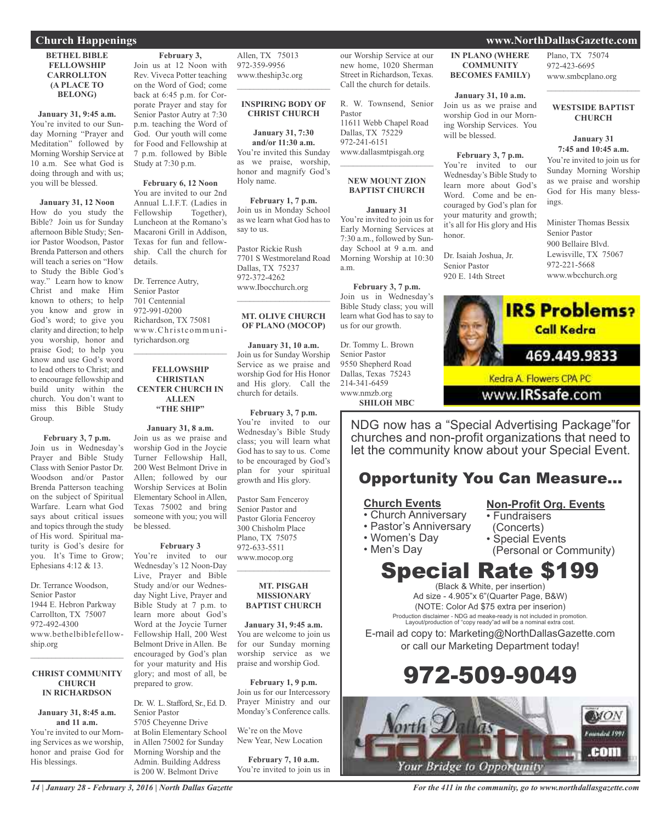#### **BETHEL BIBLE FELLOWSHIP CARROLLTON (A PLACE TO BELONG)**

**January 31, 9:45 a.m.**

You're invited to our Sunday Morning "Prayer and Meditation" followed by Morning Worship Service at 10 a.m. See what God is doing through and with us; you will be blessed.

#### **January 31, 12 Noon**

How do you study the Bible? Join us for Sunday afternoon Bible Study; Senior Pastor Woodson, Pastor Brenda Patterson and others will teach a series on "How to Study the Bible God's way." Learn how to know Christ and make Him known to others; to help you know and grow in God's word; to give you clarity and direction; to help you worship, honor and praise God; to help you know and use God's word to lead others to Christ; and to encourage fellowship and build unity within the church. You don't want to miss this Bible Study Group.

## **February 3, 7 p.m.**

Join us in Wednesday's Prayer and Bible Study Class with Senior Pastor Dr. Woodson and/or Pastor Brenda Patterson teaching on the subject of Spiritual Warfare. Learn what God says about critical issues and topics through the study of His word. Spiritual maturity is God's desire for you. It's Time to Grow; Ephesians 4:12 & 13.

Dr. Terrance Woodson, Senior Pastor 1944 E. Hebron Parkway Carrollton, TX 75007 972-492-4300 www.bethelbiblefellowship.org

#### **CHRIST COMMUNITY CHURCH IN RICHARDSON**

 $\frac{1}{2}$  ,  $\frac{1}{2}$  ,  $\frac{1}{2}$  ,  $\frac{1}{2}$  ,  $\frac{1}{2}$  ,  $\frac{1}{2}$  ,  $\frac{1}{2}$  ,  $\frac{1}{2}$  ,  $\frac{1}{2}$  ,  $\frac{1}{2}$ 

#### **January 31, 8:45 a.m. and 11 a.m.**

You're invited to our Morning Services as we worship, honor and praise God for His blessings.

**February 3,** Join us at 12 Noon with Rev. Viveca Potter teaching on the Word of God; come back at 6:45 p.m. for Corporate Prayer and stay for Senior Pastor Autry at 7:30 p.m. teaching the Word of God. Our youth will come for Food and Fellowship at 7 p.m. followed by Bible

Study at 7:30 p.m. **February 6, 12 Noon** You are invited to our 2nd Annual L.I.F.T. (Ladies in Fellowship Together), Luncheon at the Romano's Macaroni Grill in Addison, Texas for fun and fellowship. Call the church for

Dr. Terrence Autry, Senior Pastor 701 Centennial 972-991-0200 Richardson, TX 75081 www.Christcommunityrichardson.org  $\mathcal{L}_\text{max}$  , which is a set of the set of the set of the set of the set of the set of the set of the set of the set of the set of the set of the set of the set of the set of the set of the set of the set of the set of

details.

#### **FELLOWSHIP CHRISTIAN CENTER CHURCH IN ALLEN "THE SHIP"**

#### **January 31, 8 a.m.**

Join us as we praise and worship God in the Joycie Turner Fellowship Hall, 200 West Belmont Drive in Allen; followed by our Worship Services at Bolin Elementary School in Allen, Texas 75002 and bring someone with you; you will be blessed.

## **February 3**

You're invited to our Wednesday's 12 Noon-Day Live, Prayer and Bible Study and/or our Wednesday Night Live, Prayer and Bible Study at 7 p.m. to learn more about God's Word at the Joycie Turner Fellowship Hall, 200 West Belmont Drive in Allen. Be encouraged by God's plan for your maturity and His glory; and most of all, be prepared to grow.

Dr. W. L. Stafford, Sr., Ed. D. Senior Pastor

5705 Cheyenne Drive at Bolin Elementary School in Allen 75002 for Sunday Morning Worship and the Admin. Building Address is 200 W. Belmont Drive

Allen, TX 75013 972-359-9956 www.theship3c.org  $\mathcal{L}=\mathcal{L}^{\mathcal{L}}$  , where  $\mathcal{L}^{\mathcal{L}}$  , we have the set of the set of the set of the set of the set of the set of the set of the set of the set of the set of the set of the set of the set of the set of the set of

### **INSPIRING BODY OF CHRIST CHURCH**

**January 31, 7:30 and/or 11:30 a.m.** You're invited this Sunday as we praise, worship,

honor and magnify God's Holy name.

**February 1, 7 p.m.** Join us in Monday School as we learn what God has to say to us.

Pastor Rickie Rush 7701 S Westmoreland Road Dallas, TX 75237 972-372-4262 www.Ibocchurch.org  $\overline{\phantom{a}}$  , and the set of the set of the set of the set of the set of the set of the set of the set of the set of the set of the set of the set of the set of the set of the set of the set of the set of the set of the s

#### **MT. OLIVE CHURCH OF PLANO (MOCOP)**

**January 31, 10 a.m.** Join us for Sunday Worship Service as we praise and worship God for His Honor and His glory. Call the church for details.

**February 3, 7 p.m.** You're invited to our Wednesday's Bible Study class; you will learn what God has to say to us. Come to be encouraged by God's plan for your spiritual growth and His glory.

Pastor Sam Fenceroy Senior Pastor and Pastor Gloria Fenceroy 300 Chisholm Place Plano, TX 75075 972-633-5511 www.mocop.org  $\mathcal{L}=\mathcal{L}^{\mathcal{L}}$  , where  $\mathcal{L}^{\mathcal{L}}$  , we have the set of the set of the set of the set of the set of the set of the set of the set of the set of the set of the set of the set of the set of the set of the set of

#### **MT. PISGAH MISSIONARY BAPTIST CHURCH**

**January 31, 9:45 a.m.** You are welcome to join us for our Sunday morning worship service as we praise and worship God.

**February 1, 9 p.m.** Join us for our Intercessory Prayer Ministry and our Monday's Conference calls.

We're on the Move New Year, New Location

**February 7, 10 a.m.** You're invited to join us in our Worship Service at our new home, 1020 Sherman Street in Richardson, Texas. Call the church for details.

R. W. Townsend, Senior Pastor 11611 Webb Chapel Road Dallas, TX 75229 972-241-6151 www.dallasmtpisgah.org  $\mathcal{L}=\mathcal{L}^{\mathcal{L}}$  , where  $\mathcal{L}^{\mathcal{L}}$  , we have the set of the set of the set of the set of the set of the set of the set of the set of the set of the set of the set of the set of the set of the set of the set of

## **NEW MOUNT ZION BAPTIST CHURCH**

**January 31** You're invited to join us for Early Morning Services at 7:30 a.m., followed by Sunday School at 9 a.m. and Morning Worship at 10:30 a.m.

**February 3, 7 p.m.** Join us in Wednesday's Bible Study class; you will learn what God has to say to us for our growth.

Dr. Tommy L. Brown Senior Pastor 9550 Shepherd Road Dallas, Texas 75243 214-341-6459 www.nmzb.org

**SHILOH MBC**

**IN PLANO (WHERE COMMUNITY BECOMES FAMILY)**

#### **January 31, 10 a.m.**

Join us as we praise and worship God in our Morning Worship Services. You will be blessed.

### **February 3, 7 p.m.**

You're invited to our Wednesday's Bible Study to learn more about God's Word. Come and be encouraged by God's plan for your maturity and growth; it's all for His glory and His honor.

Dr. Isaiah Joshua, Jr. Senior Pastor 920 E. 14th Street

Plano, TX 75074 972-423-6695 www.smbcplano.org

## **WESTSIDE BAPTIST CHURCH**

 $\overline{\phantom{a}}$  , and the set of the set of the set of the set of the set of the set of the set of the set of the set of the set of the set of the set of the set of the set of the set of the set of the set of the set of the s

## **January 31 7:45 and 10:45 a.m.**

You're invited to join us for Sunday Morning Worship as we praise and worship God for His many blessings.

Minister Thomas Bessix Senior Pastor 900 Bellaire Blvd. Lewisville, TX 75067 972-221-5668 www.wbcchurch.org



NDG now has a "Special Advertising Package"for churches and non-profit organizations that need to let the community know about your Special Event.

## Opportunity You Can Measure...

## **Church Events**

- Church Anniversary
- Pastor's Anniversary
- Women's Day

• Men's Day

(Concerts) • Special Events

• Fundraisers

(Personal or Community)

**Non-Profit Org. Events**

## Special Rate \$199

(Black & White, per insertion) Ad size - 4.905"x 6"(Quarter Page, B&W) (NOTE: Color Ad \$75 extra per inserion) Production disclaimer - NDG ad meake-ready is not included in promotion. Layout/production of "copy ready"ad will be a nominal extra cost.

E-mail ad copy to: Marketing@NorthDallasGazette.com or call our Marketing Department today!





*14 | January 28 - February 3, 2016 | North Dallas Gazette*

*For the 411 in the community, go to www.northdallasgazette.com*

## **Church Happenings www.NorthDallasGazette.com**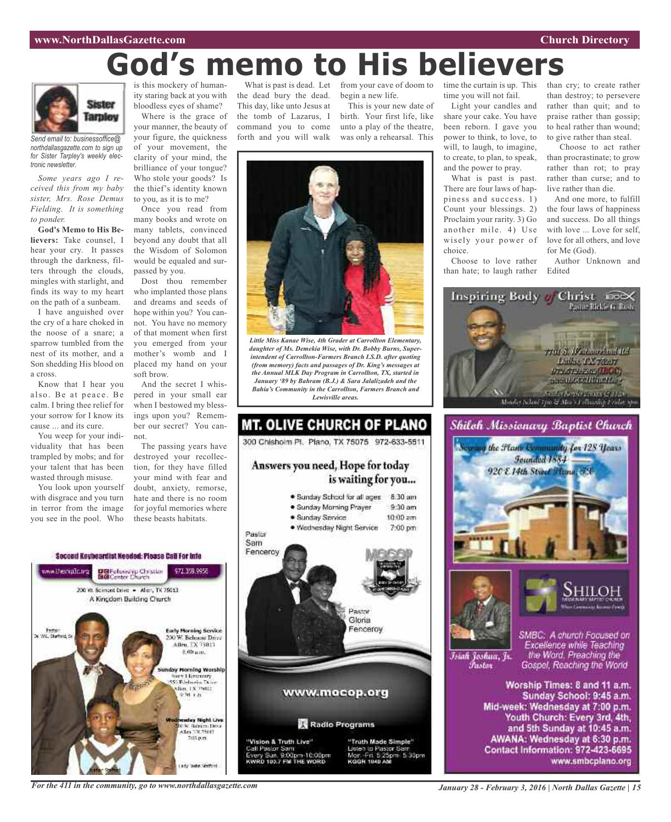## **www.NorthDallasGazette.com Church Directory**

# **God's memo to His believers**



*Send email to: businessoffice@ northdallasgazette.com to sign up for Sister Tarpley's weekly electronic newsletter.*

*Some years ago I received this from my baby sister, Mrs. Rose Demus Fielding. It is something to ponder.*

**God's Memo to His Believers:** Take counsel, I hear your cry. It passes through the darkness, filters through the clouds, mingles with starlight, and finds its way to my heart on the path of a sunbeam.

I have anguished over the cry of a hare choked in the noose of a snare; a sparrow tumbled from the nest of its mother, and a Son shedding His blood on a cross.

Know that I hear you also. Be at peace. Be calm. I bring thee relief for your sorrow for I know its cause ... and its cure.

You weep for your individuality that has been trampled by mobs; and for your talent that has been wasted through misuse.

You look upon yourself with disgrace and you turn in terror from the image you see in the pool. Who

is this mockery of humanity staring back at you with bloodless eyes of shame?

Where is the grace of your manner, the beauty of your figure, the quickness of your movement, the clarity of your mind, the brilliance of your tongue? Who stole your goods? Is the thief's identity known to you, as it is to me?

Once you read from many books and wrote on many tablets, convinced beyond any doubt that all the Wisdom of Solomon would be equaled and surpassed by you.

Dost thou remember who implanted those plans and dreams and seeds of hope within you? You cannot. You have no memory of that moment when first you emerged from your mother's womb and I placed my hand on your soft brow.

And the secret I whispered in your small ear when I bestowed my blessings upon you? Remember our secret? You cannot.

The passing years have destroyed your recollection, for they have filled your mind with fear and doubt, anxiety, remorse, hate and there is no room for joyful memories where these beasts habitats.

the dead bury the dead. This day, like unto Jesus at the tomb of Lazarus, I command you to come forth and you will walk

begin a new life. This is your new date of

birth. Your first life, like unto a play of the theatre, was only a rehearsal. This



*Little Miss Kanae Wise, 4th Grader at Carrollton Elementary, daughter of Ms. Demekia Wise, with Dr. Bobby Burns, Superintendent of Carrollton-Farmers Branch I.S.D. after quoting (from memory) facts and passages of Dr. King's messages at the Annual MLK Day Program in Carrollton, TX, started in January '89 by Bahram (B.J.) & Sara Jalalizadeh and the Bahia's Community in the Carrollton, Farmers Branch and Lewisville areas.*



What is past is dead. Let from your cave of doom to time the curtain is up. This time you will not fail.

> Light your candles and share your cake. You have been reborn. I gave you power to think, to love, to will, to laugh, to imagine, to create, to plan, to speak, and the power to pray.

> What is past is past. There are four laws of happiness and success. 1) Count your blessings. 2) Proclaim your rarity. 3) Go another mile. 4) Use wisely your power of choice.

> Choose to love rather than hate; to laugh rather

than cry; to create rather than destroy; to persevere rather than quit; and to praise rather than gossip; to heal rather than wound; to give rather than steal.

Choose to act rather than procrastinate; to grow rather than rot; to pray rather than curse; and to live rather than die.

And one more, to fulfill the four laws of happiness and success. Do all things with love ... Love for self, love for all others, and love for Me (God).

Author Unknown and Edited







SMBC: A church Focused on

Īsiah Joshua, Jr. Fustor

Excellence while Teaching the Word. Preaching the Gospel, Reaching the World

Worship Times: 8 and 11 a.m. Sunday School: 9:45 a.m. Mid-week: Wednesday at 7:00 p.m. Youth Church: Every 3rd, 4th, and 5th Sunday at 10:45 a.m. AWANA: Wednesday at 6:30 p.m. Contact Information: 972-423-6695 www.smbcplano.org

Second Keybeardist Needed: Please Call For Into



*For the 411 in the community, go to www.northdallasgazette.com*

*January 28 - February 3, 2016 | North Dallas Gazette | 15*